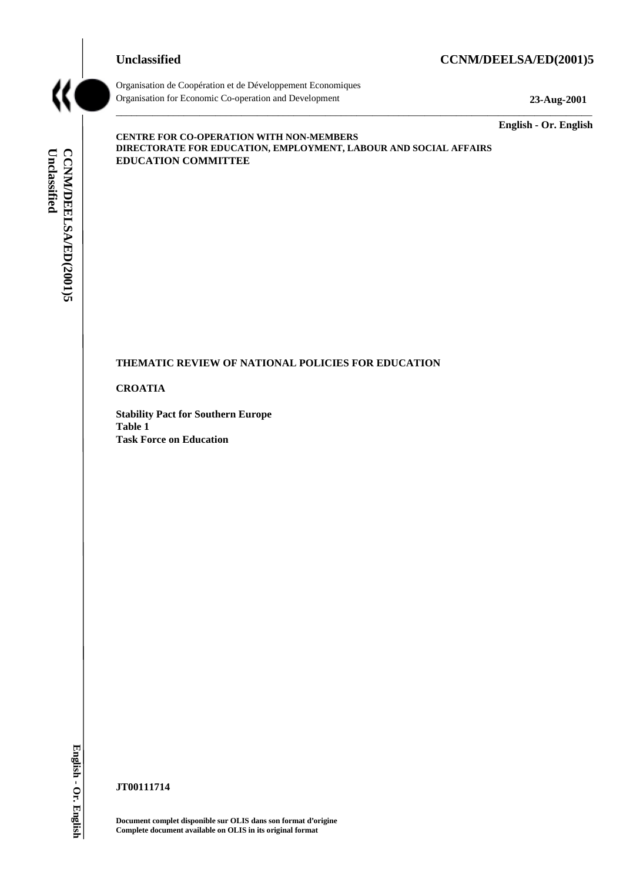# **Unclassified CCNM/DEELSA/ED(2001)5**



Organisation de Coopération et de Développement Economiques Organisation for Economic Co-operation and Development **23-Aug-2001**

**English - Or. English**

# **CENTRE FOR CO-OPERATION WITH NON-MEMBERS DIRECTORATE FOR EDUCATION, EMPLOYMENT, LABOUR AND SOCIAL AFFAIRS EDUCATION COMMITTEE**

 $\_$  ,  $\_$  ,  $\_$  ,  $\_$  ,  $\_$  ,  $\_$  ,  $\_$  ,  $\_$  ,  $\_$  ,  $\_$  ,  $\_$  ,  $\_$  ,  $\_$  ,  $\_$  ,  $\_$  ,  $\_$  ,  $\_$  ,  $\_$  ,  $\_$  ,  $\_$  ,  $\_$  ,  $\_$  ,  $\_$  ,  $\_$  ,  $\_$  ,  $\_$  ,  $\_$  ,  $\_$  ,  $\_$  ,  $\_$  ,  $\_$  ,  $\_$  ,  $\_$  ,  $\_$  ,  $\_$  ,  $\_$  ,  $\_$  ,

# **THEMATIC REVIEW OF NATIONAL POLICIES FOR EDUCATION**

## **CROATIA**

**Stability Pact for Southern Europe Table 1 Task Force on Education**

English - Or. English **English - Or. English**

**JT00111714**

**Document complet disponible sur OLIS dans son format d'origine Complete document available on OLIS in its original format**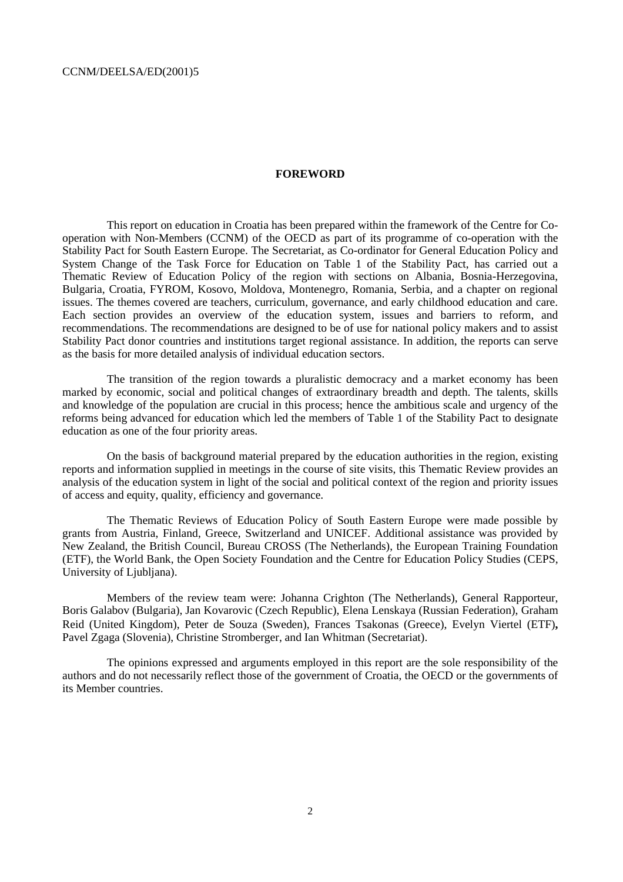#### **FOREWORD**

This report on education in Croatia has been prepared within the framework of the Centre for Cooperation with Non-Members (CCNM) of the OECD as part of its programme of co-operation with the Stability Pact for South Eastern Europe. The Secretariat, as Co-ordinator for General Education Policy and System Change of the Task Force for Education on Table 1 of the Stability Pact, has carried out a Thematic Review of Education Policy of the region with sections on Albania, Bosnia-Herzegovina, Bulgaria, Croatia, FYROM, Kosovo, Moldova, Montenegro, Romania, Serbia, and a chapter on regional issues. The themes covered are teachers, curriculum, governance, and early childhood education and care. Each section provides an overview of the education system, issues and barriers to reform, and recommendations. The recommendations are designed to be of use for national policy makers and to assist Stability Pact donor countries and institutions target regional assistance. In addition, the reports can serve as the basis for more detailed analysis of individual education sectors.

The transition of the region towards a pluralistic democracy and a market economy has been marked by economic, social and political changes of extraordinary breadth and depth. The talents, skills and knowledge of the population are crucial in this process; hence the ambitious scale and urgency of the reforms being advanced for education which led the members of Table 1 of the Stability Pact to designate education as one of the four priority areas.

On the basis of background material prepared by the education authorities in the region, existing reports and information supplied in meetings in the course of site visits, this Thematic Review provides an analysis of the education system in light of the social and political context of the region and priority issues of access and equity, quality, efficiency and governance.

The Thematic Reviews of Education Policy of South Eastern Europe were made possible by grants from Austria, Finland, Greece, Switzerland and UNICEF. Additional assistance was provided by New Zealand, the British Council, Bureau CROSS (The Netherlands), the European Training Foundation (ETF), the World Bank, the Open Society Foundation and the Centre for Education Policy Studies (CEPS, University of Ljubljana).

Members of the review team were: Johanna Crighton (The Netherlands), General Rapporteur, Boris Galabov (Bulgaria), Jan Kovarovic (Czech Republic), Elena Lenskaya (Russian Federation), Graham Reid (United Kingdom), Peter de Souza (Sweden), Frances Tsakonas (Greece), Evelyn Viertel (ETF)**,** Pavel Zgaga (Slovenia), Christine Stromberger, and Ian Whitman (Secretariat).

The opinions expressed and arguments employed in this report are the sole responsibility of the authors and do not necessarily reflect those of the government of Croatia, the OECD or the governments of its Member countries.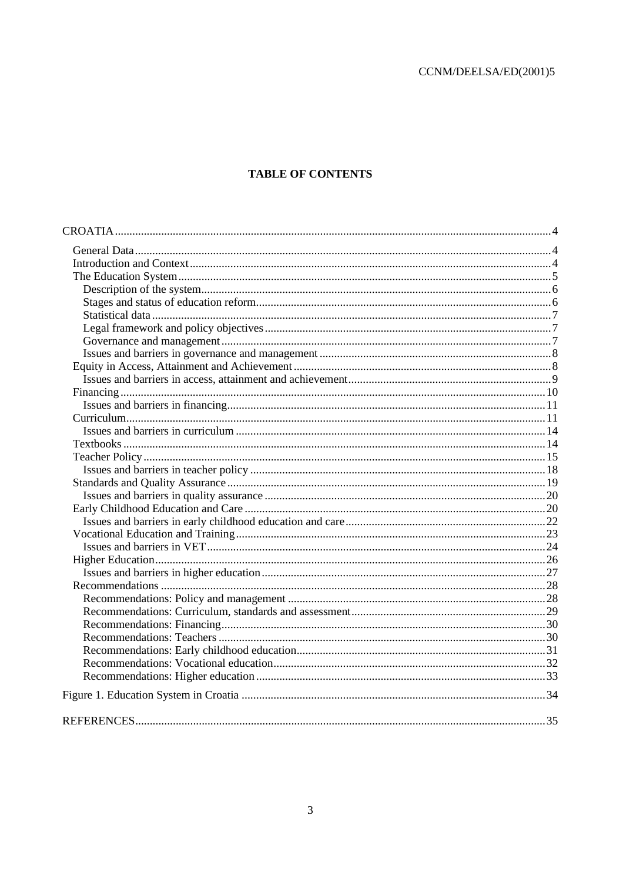# TABLE OF CONTENTS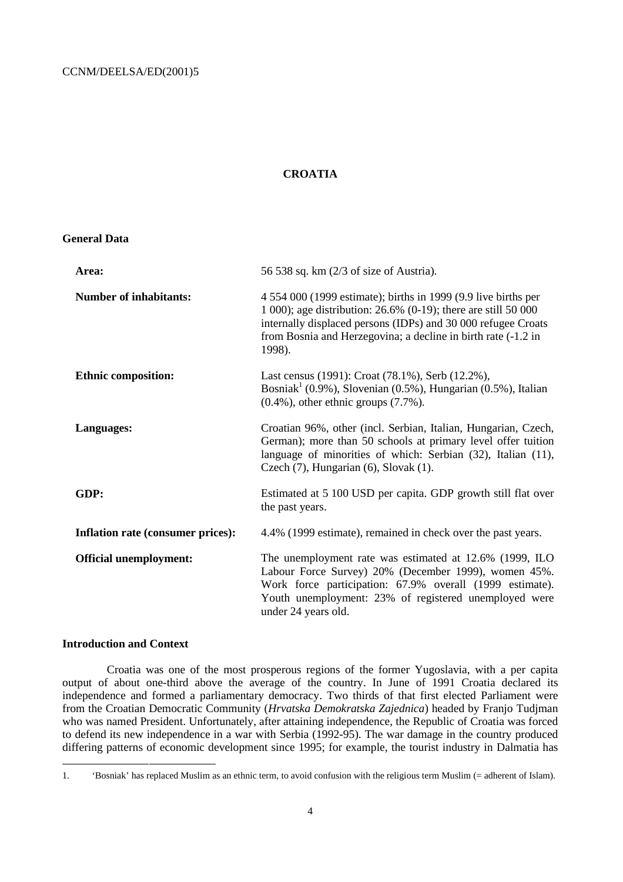# **CROATIA**

# **General Data**

| Area:                             | 56 538 sq. km (2/3 of size of Austria).                                                                                                                                                                                                                                      |
|-----------------------------------|------------------------------------------------------------------------------------------------------------------------------------------------------------------------------------------------------------------------------------------------------------------------------|
| <b>Number of inhabitants:</b>     | 4 554 000 (1999 estimate); births in 1999 (9.9 live births per<br>1 000); age distribution: 26.6% (0-19); there are still 50 000<br>internally displaced persons (IDPs) and 30 000 refugee Croats<br>from Bosnia and Herzegovina; a decline in birth rate (-1.2 in<br>1998). |
| <b>Ethnic composition:</b>        | Last census (1991): Croat (78.1%), Serb (12.2%),<br>Bosniak <sup>1</sup> (0.9%), Slovenian (0.5%), Hungarian (0.5%), Italian<br>$(0.4\%)$ , other ethnic groups $(7.7\%)$ .                                                                                                  |
| Languages:                        | Croatian 96%, other (incl. Serbian, Italian, Hungarian, Czech,<br>German); more than 50 schools at primary level offer tuition<br>language of minorities of which: Serbian (32), Italian (11),<br>Czech (7), Hungarian (6), Slovak (1).                                      |
| GDP:                              | Estimated at 5 100 USD per capita. GDP growth still flat over<br>the past years.                                                                                                                                                                                             |
| Inflation rate (consumer prices): | 4.4% (1999 estimate), remained in check over the past years.                                                                                                                                                                                                                 |
| <b>Official unemployment:</b>     | The unemployment rate was estimated at 12.6% (1999, ILO<br>Labour Force Survey) 20% (December 1999), women 45%.<br>Work force participation: 67.9% overall (1999 estimate).<br>Youth unemployment: 23% of registered unemployed were<br>under 24 years old.                  |

### **Introduction and Context**

Croatia was one of the most prosperous regions of the former Yugoslavia, with a per capita output of about one-third above the average of the country. In June of 1991 Croatia declared its independence and formed a parliamentary democracy. Two thirds of that first elected Parliament were from the Croatian Democratic Community (*Hrvatska Demokratska Zajednica*) headed by Franjo Tudjman who was named President. Unfortunately, after attaining independence, the Republic of Croatia was forced to defend its new independence in a war with Serbia (1992-95). The war damage in the country produced differing patterns of economic development since 1995; for example, the tourist industry in Dalmatia has

 <sup>1. &#</sup>x27;Bosniak' has replaced Muslim as an ethnic term, to avoid confusion with the religious term Muslim (= adherent of Islam).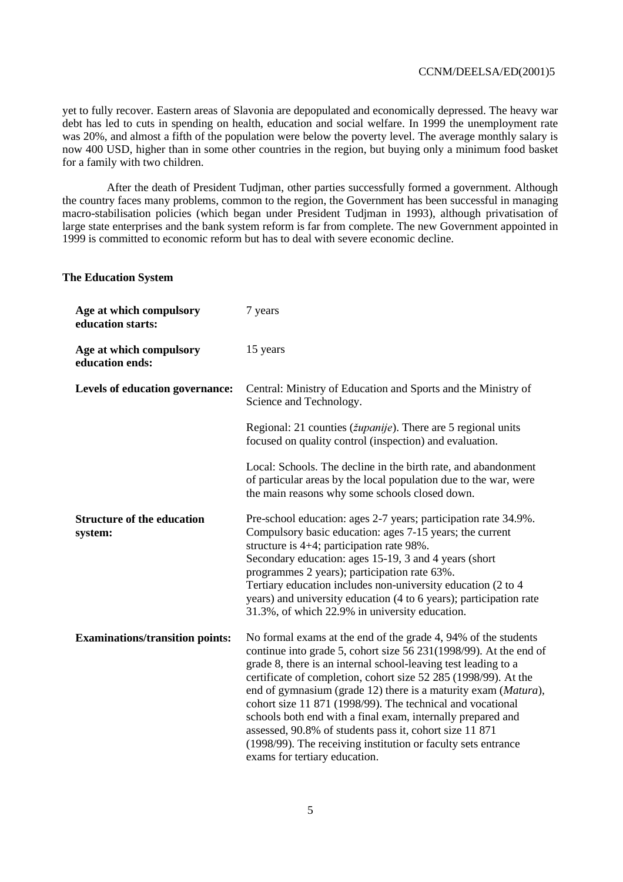yet to fully recover. Eastern areas of Slavonia are depopulated and economically depressed. The heavy war debt has led to cuts in spending on health, education and social welfare. In 1999 the unemployment rate was 20%, and almost a fifth of the population were below the poverty level. The average monthly salary is now 400 USD, higher than in some other countries in the region, but buying only a minimum food basket for a family with two children.

After the death of President Tudjman, other parties successfully formed a government. Although the country faces many problems, common to the region, the Government has been successful in managing macro-stabilisation policies (which began under President Tudjman in 1993), although privatisation of large state enterprises and the bank system reform is far from complete. The new Government appointed in 1999 is committed to economic reform but has to deal with severe economic decline.

# **The Education System**

| Age at which compulsory<br>education starts: | 7 years                                                                                                                                                                                                                                                                                                                                                                                                                                                                                                                                                                                                                              |
|----------------------------------------------|--------------------------------------------------------------------------------------------------------------------------------------------------------------------------------------------------------------------------------------------------------------------------------------------------------------------------------------------------------------------------------------------------------------------------------------------------------------------------------------------------------------------------------------------------------------------------------------------------------------------------------------|
| Age at which compulsory<br>education ends:   | 15 years                                                                                                                                                                                                                                                                                                                                                                                                                                                                                                                                                                                                                             |
| Levels of education governance:              | Central: Ministry of Education and Sports and the Ministry of<br>Science and Technology.                                                                                                                                                                                                                                                                                                                                                                                                                                                                                                                                             |
|                                              | Regional: 21 counties (županije). There are 5 regional units<br>focused on quality control (inspection) and evaluation.                                                                                                                                                                                                                                                                                                                                                                                                                                                                                                              |
|                                              | Local: Schools. The decline in the birth rate, and abandonment<br>of particular areas by the local population due to the war, were<br>the main reasons why some schools closed down.                                                                                                                                                                                                                                                                                                                                                                                                                                                 |
| <b>Structure of the education</b><br>system: | Pre-school education: ages 2-7 years; participation rate 34.9%.<br>Compulsory basic education: ages 7-15 years; the current<br>structure is 4+4; participation rate 98%.<br>Secondary education: ages 15-19, 3 and 4 years (short<br>programmes 2 years); participation rate 63%.<br>Tertiary education includes non-university education (2 to 4<br>years) and university education (4 to 6 years); participation rate<br>31.3%, of which 22.9% in university education.                                                                                                                                                            |
| <b>Examinations/transition points:</b>       | No formal exams at the end of the grade 4, 94% of the students<br>continue into grade 5, cohort size 56 231(1998/99). At the end of<br>grade 8, there is an internal school-leaving test leading to a<br>certificate of completion, cohort size 52 285 (1998/99). At the<br>end of gymnasium (grade 12) there is a maturity exam (Matura),<br>cohort size 11 871 (1998/99). The technical and vocational<br>schools both end with a final exam, internally prepared and<br>assessed, 90.8% of students pass it, cohort size 11 871<br>(1998/99). The receiving institution or faculty sets entrance<br>exams for tertiary education. |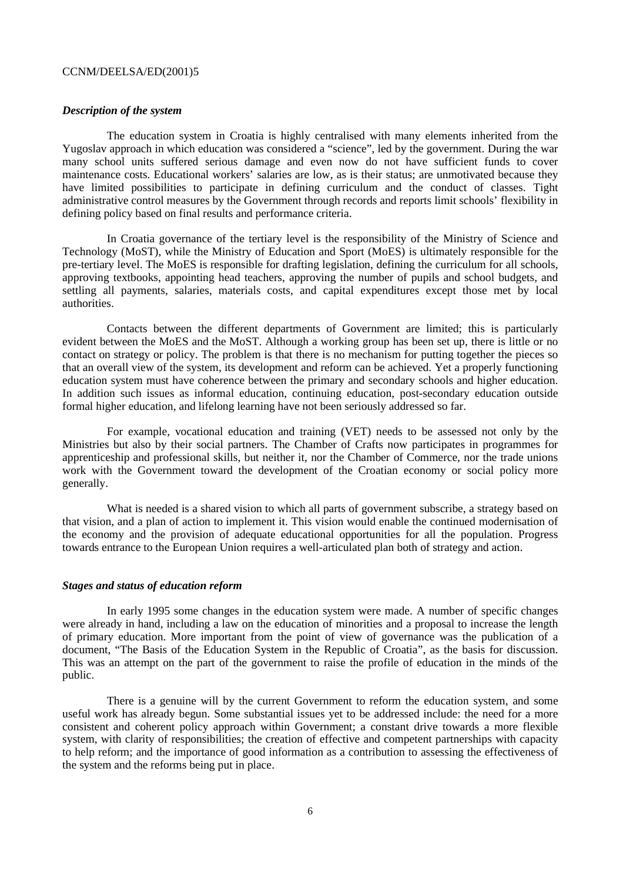# *Description of the system*

The education system in Croatia is highly centralised with many elements inherited from the Yugoslav approach in which education was considered a "science", led by the government. During the war many school units suffered serious damage and even now do not have sufficient funds to cover maintenance costs. Educational workers' salaries are low, as is their status; are unmotivated because they have limited possibilities to participate in defining curriculum and the conduct of classes. Tight administrative control measures by the Government through records and reports limit schools' flexibility in defining policy based on final results and performance criteria.

In Croatia governance of the tertiary level is the responsibility of the Ministry of Science and Technology (MoST), while the Ministry of Education and Sport (MoES) is ultimately responsible for the pre-tertiary level. The MoES is responsible for drafting legislation, defining the curriculum for all schools, approving textbooks, appointing head teachers, approving the number of pupils and school budgets, and settling all payments, salaries, materials costs, and capital expenditures except those met by local authorities.

Contacts between the different departments of Government are limited; this is particularly evident between the MoES and the MoST. Although a working group has been set up, there is little or no contact on strategy or policy. The problem is that there is no mechanism for putting together the pieces so that an overall view of the system, its development and reform can be achieved. Yet a properly functioning education system must have coherence between the primary and secondary schools and higher education. In addition such issues as informal education, continuing education, post-secondary education outside formal higher education, and lifelong learning have not been seriously addressed so far.

For example, vocational education and training (VET) needs to be assessed not only by the Ministries but also by their social partners. The Chamber of Crafts now participates in programmes for apprenticeship and professional skills, but neither it, nor the Chamber of Commerce, nor the trade unions work with the Government toward the development of the Croatian economy or social policy more generally.

What is needed is a shared vision to which all parts of government subscribe, a strategy based on that vision, and a plan of action to implement it. This vision would enable the continued modernisation of the economy and the provision of adequate educational opportunities for all the population. Progress towards entrance to the European Union requires a well-articulated plan both of strategy and action.

#### *Stages and status of education reform*

In early 1995 some changes in the education system were made. A number of specific changes were already in hand, including a law on the education of minorities and a proposal to increase the length of primary education. More important from the point of view of governance was the publication of a document, "The Basis of the Education System in the Republic of Croatia", as the basis for discussion. This was an attempt on the part of the government to raise the profile of education in the minds of the public.

There is a genuine will by the current Government to reform the education system, and some useful work has already begun. Some substantial issues yet to be addressed include: the need for a more consistent and coherent policy approach within Government; a constant drive towards a more flexible system, with clarity of responsibilities; the creation of effective and competent partnerships with capacity to help reform; and the importance of good information as a contribution to assessing the effectiveness of the system and the reforms being put in place.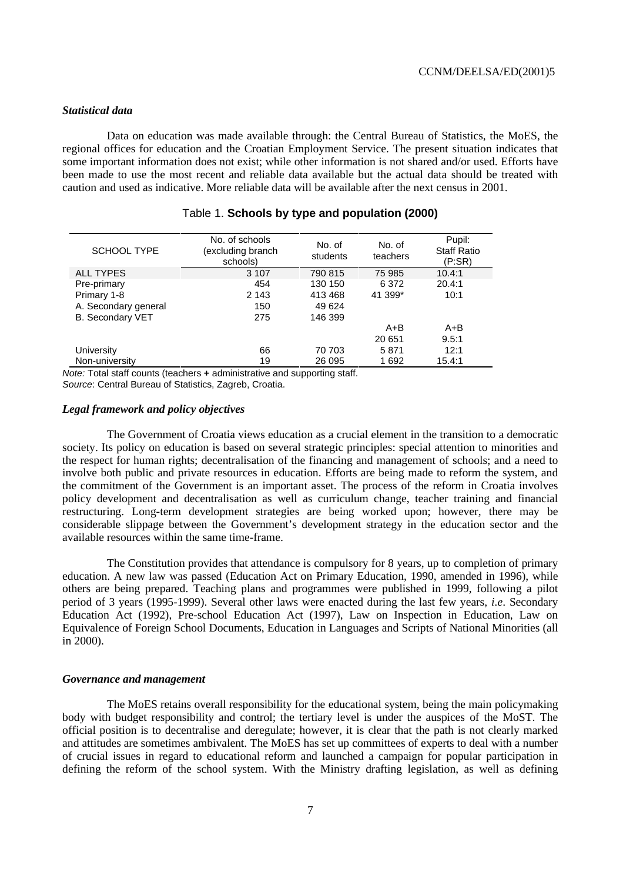#### *Statistical data*

Data on education was made available through: the Central Bureau of Statistics, the MoES, the regional offices for education and the Croatian Employment Service. The present situation indicates that some important information does not exist; while other information is not shared and/or used. Efforts have been made to use the most recent and reliable data available but the actual data should be treated with caution and used as indicative. More reliable data will be available after the next census in 2001.

| <b>SCHOOL TYPE</b>      | No. of schools<br>(excluding branch<br>schools) | No. of<br>students | No. of<br>teachers | Pupil:<br><b>Staff Ratio</b><br>(P:SR) |
|-------------------------|-------------------------------------------------|--------------------|--------------------|----------------------------------------|
| <b>ALL TYPES</b>        | 3 1 0 7                                         | 790 815            | 75 985             | 10.4:1                                 |
| Pre-primary             | 454                                             | 130 150            | 6 3 7 2            | 20.4:1                                 |
| Primary 1-8             | 2 1 4 3                                         | 413 468            | 41 399*            | 10:1                                   |
| A. Secondary general    | 150                                             | 49 624             |                    |                                        |
| <b>B.</b> Secondary VET | 275                                             | 146 399            |                    |                                        |
|                         |                                                 |                    | $A + B$            | A+B                                    |
|                         |                                                 |                    | 20 651             | 9.5:1                                  |
| University              | 66                                              | 70 703             | 5871               | 12:1                                   |
| Non-university          | 19                                              | 26 095             | 1 692              | 15.4:1                                 |

# Table 1. **Schools by type and population (2000)**

Note: Total staff counts (teachers **+** administrative and supporting staff. Source: Central Bureau of Statistics, Zagreb, Croatia.

## *Legal framework and policy objectives*

The Government of Croatia views education as a crucial element in the transition to a democratic society. Its policy on education is based on several strategic principles: special attention to minorities and the respect for human rights; decentralisation of the financing and management of schools; and a need to involve both public and private resources in education. Efforts are being made to reform the system, and the commitment of the Government is an important asset. The process of the reform in Croatia involves policy development and decentralisation as well as curriculum change, teacher training and financial restructuring. Long-term development strategies are being worked upon; however, there may be considerable slippage between the Government's development strategy in the education sector and the available resources within the same time-frame.

The Constitution provides that attendance is compulsory for 8 years, up to completion of primary education. A new law was passed (Education Act on Primary Education, 1990, amended in 1996), while others are being prepared. Teaching plans and programmes were published in 1999, following a pilot period of 3 years (1995-1999). Several other laws were enacted during the last few years, *i.e*. Secondary Education Act (1992), Pre-school Education Act (1997), Law on Inspection in Education, Law on Equivalence of Foreign School Documents, Education in Languages and Scripts of National Minorities (all in 2000).

#### *Governance and management*

The MoES retains overall responsibility for the educational system, being the main policymaking body with budget responsibility and control; the tertiary level is under the auspices of the MoST. The official position is to decentralise and deregulate; however, it is clear that the path is not clearly marked and attitudes are sometimes ambivalent. The MoES has set up committees of experts to deal with a number of crucial issues in regard to educational reform and launched a campaign for popular participation in defining the reform of the school system. With the Ministry drafting legislation, as well as defining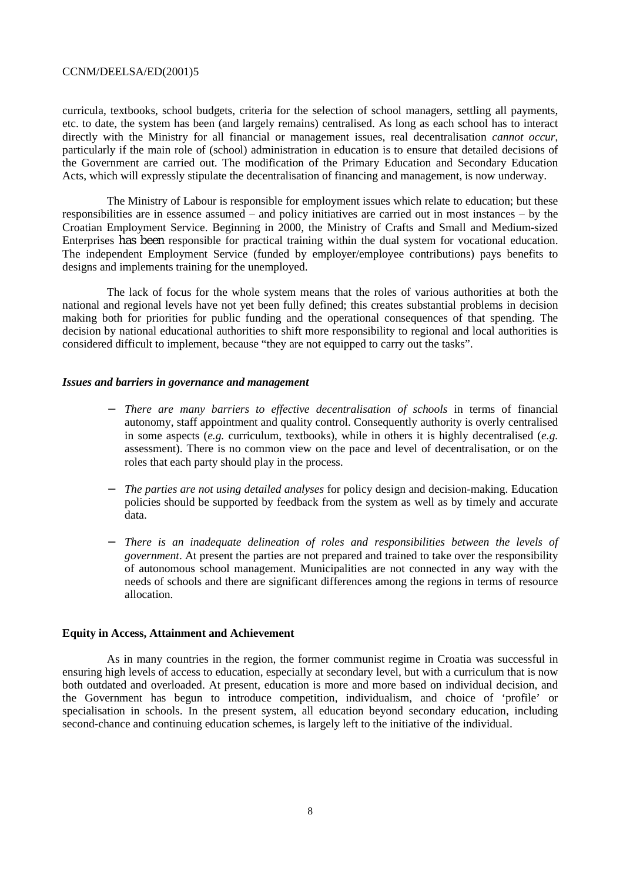curricula, textbooks, school budgets, criteria for the selection of school managers, settling all payments, etc. to date, the system has been (and largely remains) centralised. As long as each school has to interact directly with the Ministry for all financial or management issues, real decentralisation *cannot occur*, particularly if the main role of (school) administration in education is to ensure that detailed decisions of the Government are carried out. The modification of the Primary Education and Secondary Education Acts, which will expressly stipulate the decentralisation of financing and management, is now underway.

The Ministry of Labour is responsible for employment issues which relate to education; but these responsibilities are in essence assumed – and policy initiatives are carried out in most instances – by the Croatian Employment Service. Beginning in 2000, the Ministry of Crafts and Small and Medium-sized Enterprises has been responsible for practical training within the dual system for vocational education. The independent Employment Service (funded by employer/employee contributions) pays benefits to designs and implements training for the unemployed.

The lack of focus for the whole system means that the roles of various authorities at both the national and regional levels have not yet been fully defined; this creates substantial problems in decision making both for priorities for public funding and the operational consequences of that spending. The decision by national educational authorities to shift more responsibility to regional and local authorities is considered difficult to implement, because "they are not equipped to carry out the tasks".

#### *Issues and barriers in governance and management*

- − *There are many barriers to effective decentralisation of schools* in terms of financial autonomy, staff appointment and quality control. Consequently authority is overly centralised in some aspects (*e.g.* curriculum, textbooks), while in others it is highly decentralised (*e.g.* assessment). There is no common view on the pace and level of decentralisation, or on the roles that each party should play in the process*.*
- − *The parties are not using detailed analyses* for policy design and decision-making. Education policies should be supported by feedback from the system as well as by timely and accurate data.
- − *There is an inadequate delineation of roles and responsibilities between the levels of government*. At present the parties are not prepared and trained to take over the responsibility of autonomous school management. Municipalities are not connected in any way with the needs of schools and there are significant differences among the regions in terms of resource allocation.

#### **Equity in Access, Attainment and Achievement**

As in many countries in the region, the former communist regime in Croatia was successful in ensuring high levels of access to education, especially at secondary level, but with a curriculum that is now both outdated and overloaded. At present, education is more and more based on individual decision, and the Government has begun to introduce competition, individualism, and choice of 'profile' or specialisation in schools. In the present system, all education beyond secondary education, including second-chance and continuing education schemes, is largely left to the initiative of the individual.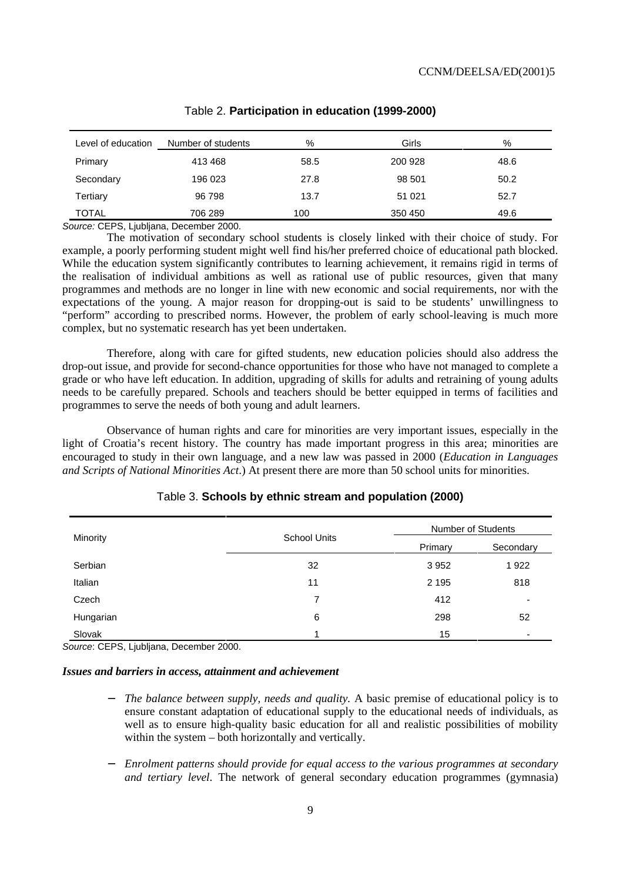| Level of education | Number of students | %    | Girls   | %    |
|--------------------|--------------------|------|---------|------|
| Primary            | 413468             | 58.5 | 200 928 | 48.6 |
| Secondary          | 196 023            | 27.8 | 98 501  | 50.2 |
| Tertiary           | 96 798             | 13.7 | 51 021  | 52.7 |
| <b>TOTAL</b>       | 706 289            | 100  | 350 450 | 49.6 |

# Table 2. **Participation in education (1999-2000)**

Source: CEPS, Ljubljana, December 2000.

The motivation of secondary school students is closely linked with their choice of study. For example, a poorly performing student might well find his/her preferred choice of educational path blocked. While the education system significantly contributes to learning achievement, it remains rigid in terms of the realisation of individual ambitions as well as rational use of public resources, given that many programmes and methods are no longer in line with new economic and social requirements, nor with the expectations of the young. A major reason for dropping-out is said to be students' unwillingness to "perform" according to prescribed norms. However, the problem of early school-leaving is much more complex, but no systematic research has yet been undertaken.

Therefore, along with care for gifted students, new education policies should also address the drop-out issue, and provide for second-chance opportunities for those who have not managed to complete a grade or who have left education. In addition, upgrading of skills for adults and retraining of young adults needs to be carefully prepared. Schools and teachers should be better equipped in terms of facilities and programmes to serve the needs of both young and adult learners.

Observance of human rights and care for minorities are very important issues, especially in the light of Croatia's recent history. The country has made important progress in this area; minorities are encouraged to study in their own language, and a new law was passed in 2000 (*Education in Languages and Scripts of National Minorities Act*.) At present there are more than 50 school units for minorities.

| Minority  |                     | Number of Students |                |  |  |
|-----------|---------------------|--------------------|----------------|--|--|
|           | <b>School Units</b> | Primary            | Secondary      |  |  |
| Serbian   | 32                  | 3 9 5 2            | 1922           |  |  |
| Italian   | 11                  | 2 1 9 5            | 818            |  |  |
| Czech     | 7                   | 412                | $\overline{a}$ |  |  |
| Hungarian | 6                   | 298                | 52             |  |  |
| Slovak    |                     | 15                 |                |  |  |

## Table 3. **Schools by ethnic stream and population (2000)**

Source: CEPS, Ljubljana, December 2000.

#### *Issues and barriers in access, attainment and achievement*

- *The balance between supply, needs and quality.* A basic premise of educational policy is to ensure constant adaptation of educational supply to the educational needs of individuals, as well as to ensure high-quality basic education for all and realistic possibilities of mobility within the system – both horizontally and vertically.
- − *Enrolment patterns should provide for equal access to the various programmes at secondary and tertiary level*. The network of general secondary education programmes (gymnasia)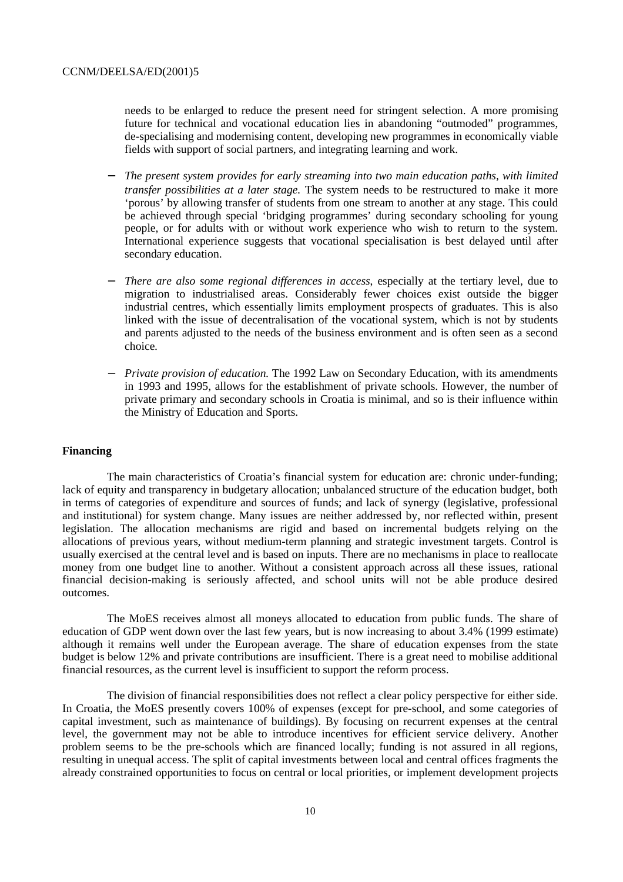needs to be enlarged to reduce the present need for stringent selection. A more promising future for technical and vocational education lies in abandoning "outmoded" programmes, de-specialising and modernising content, developing new programmes in economically viable fields with support of social partners, and integrating learning and work.

- − *The present system provides for early streaming into two main education paths, with limited transfer possibilities at a later stage.* The system needs to be restructured to make it more 'porous' by allowing transfer of students from one stream to another at any stage. This could be achieved through special 'bridging programmes' during secondary schooling for young people, or for adults with or without work experience who wish to return to the system. International experience suggests that vocational specialisation is best delayed until after secondary education.
- *There are also some regional differences in access*, especially at the tertiary level, due to migration to industrialised areas. Considerably fewer choices exist outside the bigger industrial centres, which essentially limits employment prospects of graduates. This is also linked with the issue of decentralisation of the vocational system, which is not by students and parents adjusted to the needs of the business environment and is often seen as a second choice*.*
- − *Private provision of education.* The 1992 Law on Secondary Education, with its amendments in 1993 and 1995, allows for the establishment of private schools. However, the number of private primary and secondary schools in Croatia is minimal, and so is their influence within the Ministry of Education and Sports.

#### **Financing**

The main characteristics of Croatia's financial system for education are: chronic under-funding; lack of equity and transparency in budgetary allocation; unbalanced structure of the education budget, both in terms of categories of expenditure and sources of funds; and lack of synergy (legislative, professional and institutional) for system change. Many issues are neither addressed by, nor reflected within, present legislation. The allocation mechanisms are rigid and based on incremental budgets relying on the allocations of previous years, without medium-term planning and strategic investment targets. Control is usually exercised at the central level and is based on inputs. There are no mechanisms in place to reallocate money from one budget line to another. Without a consistent approach across all these issues, rational financial decision-making is seriously affected, and school units will not be able produce desired outcomes.

The MoES receives almost all moneys allocated to education from public funds. The share of education of GDP went down over the last few years, but is now increasing to about 3.4% (1999 estimate) although it remains well under the European average. The share of education expenses from the state budget is below 12% and private contributions are insufficient. There is a great need to mobilise additional financial resources, as the current level is insufficient to support the reform process.

The division of financial responsibilities does not reflect a clear policy perspective for either side. In Croatia, the MoES presently covers 100% of expenses (except for pre-school, and some categories of capital investment, such as maintenance of buildings). By focusing on recurrent expenses at the central level, the government may not be able to introduce incentives for efficient service delivery. Another problem seems to be the pre-schools which are financed locally; funding is not assured in all regions, resulting in unequal access. The split of capital investments between local and central offices fragments the already constrained opportunities to focus on central or local priorities, or implement development projects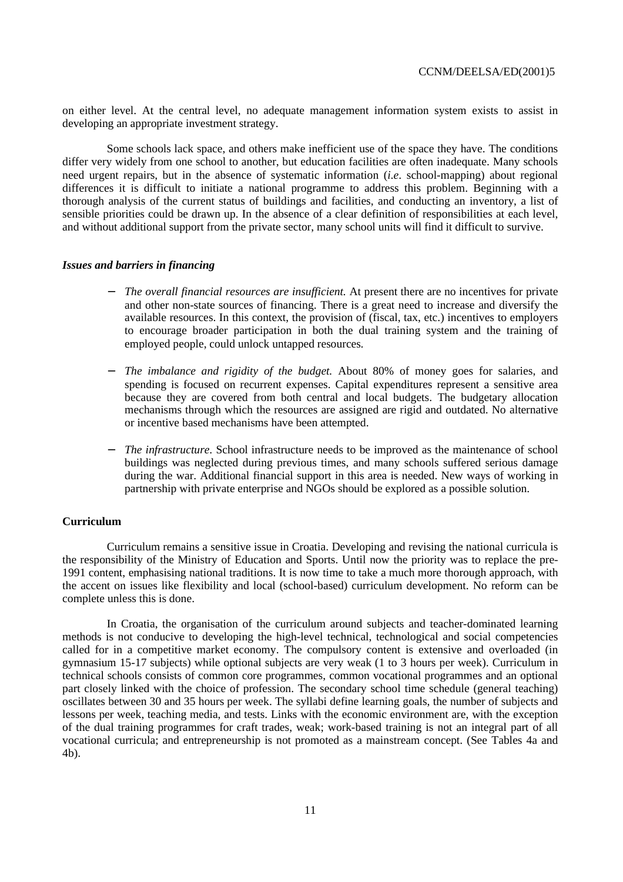on either level. At the central level, no adequate management information system exists to assist in developing an appropriate investment strategy.

Some schools lack space, and others make inefficient use of the space they have. The conditions differ very widely from one school to another, but education facilities are often inadequate. Many schools need urgent repairs, but in the absence of systematic information (*i.e*. school-mapping) about regional differences it is difficult to initiate a national programme to address this problem. Beginning with a thorough analysis of the current status of buildings and facilities, and conducting an inventory, a list of sensible priorities could be drawn up. In the absence of a clear definition of responsibilities at each level, and without additional support from the private sector, many school units will find it difficult to survive.

#### *Issues and barriers in financing*

- The overall financial resources are insufficient. At present there are no incentives for private and other non-state sources of financing. There is a great need to increase and diversify the available resources. In this context, the provision of (fiscal, tax, etc.) incentives to employers to encourage broader participation in both the dual training system and the training of employed people, could unlock untapped resources*.*
- *The imbalance and rigidity of the budget.* About 80% of money goes for salaries, and spending is focused on recurrent expenses. Capital expenditures represent a sensitive area because they are covered from both central and local budgets. The budgetary allocation mechanisms through which the resources are assigned are rigid and outdated. No alternative or incentive based mechanisms have been attempted.
- − *The infrastructure.* School infrastructure needs to be improved as the maintenance of school buildings was neglected during previous times, and many schools suffered serious damage during the war. Additional financial support in this area is needed. New ways of working in partnership with private enterprise and NGOs should be explored as a possible solution.

# **Curriculum**

Curriculum remains a sensitive issue in Croatia. Developing and revising the national curricula is the responsibility of the Ministry of Education and Sports. Until now the priority was to replace the pre-1991 content, emphasising national traditions. It is now time to take a much more thorough approach, with the accent on issues like flexibility and local (school-based) curriculum development. No reform can be complete unless this is done.

In Croatia, the organisation of the curriculum around subjects and teacher-dominated learning methods is not conducive to developing the high-level technical, technological and social competencies called for in a competitive market economy. The compulsory content is extensive and overloaded (in gymnasium 15-17 subjects) while optional subjects are very weak (1 to 3 hours per week). Curriculum in technical schools consists of common core programmes, common vocational programmes and an optional part closely linked with the choice of profession. The secondary school time schedule (general teaching) oscillates between 30 and 35 hours per week. The syllabi define learning goals, the number of subjects and lessons per week, teaching media, and tests. Links with the economic environment are, with the exception of the dual training programmes for craft trades, weak; work-based training is not an integral part of all vocational curricula; and entrepreneurship is not promoted as a mainstream concept. (See Tables 4a and 4b).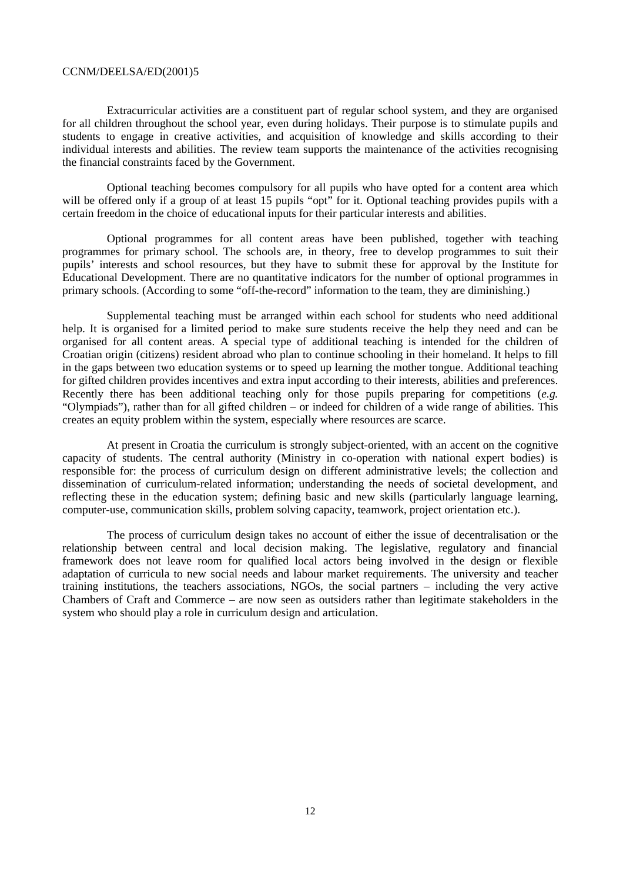Extracurricular activities are a constituent part of regular school system, and they are organised for all children throughout the school year, even during holidays. Their purpose is to stimulate pupils and students to engage in creative activities, and acquisition of knowledge and skills according to their individual interests and abilities. The review team supports the maintenance of the activities recognising the financial constraints faced by the Government.

Optional teaching becomes compulsory for all pupils who have opted for a content area which will be offered only if a group of at least 15 pupils "opt" for it. Optional teaching provides pupils with a certain freedom in the choice of educational inputs for their particular interests and abilities.

Optional programmes for all content areas have been published, together with teaching programmes for primary school. The schools are, in theory, free to develop programmes to suit their pupils' interests and school resources, but they have to submit these for approval by the Institute for Educational Development. There are no quantitative indicators for the number of optional programmes in primary schools. (According to some "off-the-record" information to the team, they are diminishing.)

Supplemental teaching must be arranged within each school for students who need additional help. It is organised for a limited period to make sure students receive the help they need and can be organised for all content areas. A special type of additional teaching is intended for the children of Croatian origin (citizens) resident abroad who plan to continue schooling in their homeland. It helps to fill in the gaps between two education systems or to speed up learning the mother tongue. Additional teaching for gifted children provides incentives and extra input according to their interests, abilities and preferences. Recently there has been additional teaching only for those pupils preparing for competitions (*e.g.* "Olympiads"), rather than for all gifted children – or indeed for children of a wide range of abilities. This creates an equity problem within the system, especially where resources are scarce.

At present in Croatia the curriculum is strongly subject-oriented, with an accent on the cognitive capacity of students. The central authority (Ministry in co-operation with national expert bodies) is responsible for: the process of curriculum design on different administrative levels; the collection and dissemination of curriculum-related information; understanding the needs of societal development, and reflecting these in the education system; defining basic and new skills (particularly language learning, computer-use, communication skills, problem solving capacity, teamwork, project orientation etc.).

The process of curriculum design takes no account of either the issue of decentralisation or the relationship between central and local decision making. The legislative, regulatory and financial framework does not leave room for qualified local actors being involved in the design or flexible adaptation of curricula to new social needs and labour market requirements. The university and teacher training institutions, the teachers associations, NGOs, the social partners – including the very active Chambers of Craft and Commerce – are now seen as outsiders rather than legitimate stakeholders in the system who should play a role in curriculum design and articulation.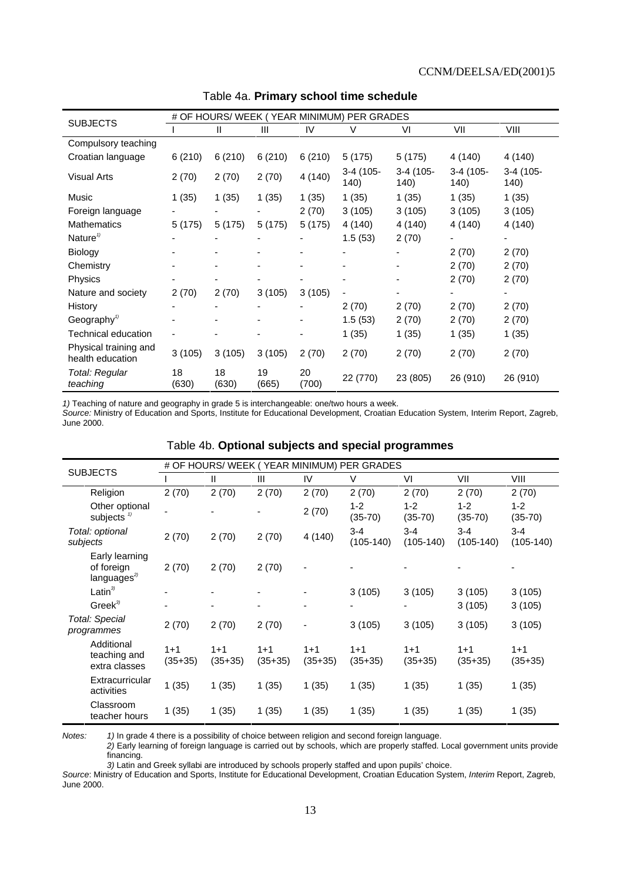|                                           | # OF HOURS/ WEEK (YEAR MINIMUM) PER GRADES |             |             |             |                   |                   |                    |                   |  |  |
|-------------------------------------------|--------------------------------------------|-------------|-------------|-------------|-------------------|-------------------|--------------------|-------------------|--|--|
| <b>SUBJECTS</b>                           |                                            | Ш           | Ш           | IV          | V                 | VI                | VII                | VIII              |  |  |
| Compulsory teaching                       |                                            |             |             |             |                   |                   |                    |                   |  |  |
| Croatian language                         | 6(210)                                     | 6(210)      | 6(210)      | 6(210)      | 5 (175)           | 5 (175)           | 4 (140)            | 4 (140)           |  |  |
| <b>Visual Arts</b>                        | 2(70)                                      | 2(70)       | 2(70)       | 4 (140)     | 3-4 (105-<br>140) | 3-4 (105-<br>140) | $3-4(105-$<br>140) | 3-4 (105-<br>140) |  |  |
| Music                                     | 1(35)                                      | 1(35)       | 1(35)       | 1(35)       | 1(35)             | 1(35)             | 1(35)              | 1(35)             |  |  |
| Foreign language                          |                                            |             |             | 2(70)       | 3(105)            | 3(105)            | 3(105)             | 3(105)            |  |  |
| <b>Mathematics</b>                        | 5(175)                                     | 5(175)      | 5(175)      | 5(175)      | 4 (140)           | 4 (140)           | 4 (140)            | 4 (140)           |  |  |
| Nature <sup>1)</sup>                      |                                            |             |             |             | 1.5(53)           | 2(70)             |                    | -                 |  |  |
| Biology                                   |                                            |             |             |             |                   |                   | 2(70)              | 2(70)             |  |  |
| Chemistry                                 |                                            |             |             |             |                   | ٠                 | 2(70)              | 2(70)             |  |  |
| Physics                                   |                                            |             |             |             |                   |                   | 2(70)              | 2(70)             |  |  |
| Nature and society                        | 2(70)                                      | 2(70)       | 3(105)      | 3(105)      |                   |                   |                    | ۰                 |  |  |
| History                                   |                                            |             |             |             | 2(70)             | 2(70)             | 2(70)              | 2(70)             |  |  |
| Geography $"$                             |                                            |             |             |             | 1.5(53)           | 2(70)             | 2(70)              | 2(70)             |  |  |
| Technical education                       |                                            |             |             |             | 1(35)             | 1(35)             | 1(35)              | 1(35)             |  |  |
| Physical training and<br>health education | 3(105)                                     | 3(105)      | 3(105)      | 2(70)       | 2(70)             | 2(70)             | 2(70)              | 2(70)             |  |  |
| Total: Regular<br>teaching                | 18<br>(630)                                | 18<br>(630) | 19<br>(665) | 20<br>(700) | 22 (770)          | 23 (805)          | 26 (910)           | 26 (910)          |  |  |

# Table 4a. **Primary school time schedule**

1) Teaching of nature and geography in grade 5 is interchangeable: one/two hours a week.

Source: Ministry of Education and Sports, Institute for Educational Development, Croatian Education System, Interim Report, Zagreb, June 2000.

| Table 4b. Optional subjects and special programmes |  |  |
|----------------------------------------------------|--|--|
|                                                    |  |  |

| <b>SUBJECTS</b> |                                                         | # OF HOURS/ WEEK (YEAR MINIMUM) PER GRADES |                      |                      |                      |                        |                        |                        |                        |  |  |
|-----------------|---------------------------------------------------------|--------------------------------------------|----------------------|----------------------|----------------------|------------------------|------------------------|------------------------|------------------------|--|--|
|                 |                                                         |                                            | Ш                    | Ш                    | IV                   | V                      | VI                     | VII                    | VIII                   |  |  |
|                 | Religion                                                | 2(70)                                      | 2(70)                | 2(70)                | 2(70)                | 2(70)                  | 2(70)                  | 2(70)                  | 2(70)                  |  |  |
|                 | Other optional<br>subjects $\sqrt[1]{ }$                |                                            |                      |                      | 2(70)                | $1 - 2$<br>$(35-70)$   | $1 - 2$<br>$(35-70)$   | $1 - 2$<br>$(35-70)$   | $1 - 2$<br>$(35-70)$   |  |  |
| subjects        | Total: optional                                         | 2(70)                                      | 2(70)                | 2(70)                | 4 (140)              | $3 - 4$<br>$(105-140)$ | $3 - 4$<br>$(105-140)$ | $3 - 4$<br>$(105-140)$ | $3 - 4$<br>$(105-140)$ |  |  |
|                 | Early learning<br>of foreign<br>languages <sup>2)</sup> | 2(70)                                      | 2(70)                | 2(70)                | ٠                    |                        |                        |                        |                        |  |  |
|                 | Latin $3$                                               |                                            |                      |                      |                      | 3(105)                 | 3(105)                 | 3(105)                 | 3(105)                 |  |  |
|                 | Greek <sup>3)</sup>                                     |                                            |                      |                      |                      |                        |                        | 3(105)                 | 3(105)                 |  |  |
|                 | <b>Total: Special</b><br>programmes                     | 2(70)                                      | 2(70)                | 2(70)                | ٠                    | 3(105)                 | 3(105)                 | 3(105)                 | 3(105)                 |  |  |
|                 | Additional<br>teaching and<br>extra classes             | $1 + 1$<br>$(35+35)$                       | $1 + 1$<br>$(35+35)$ | $1 + 1$<br>$(35+35)$ | $1 + 1$<br>$(35+35)$ | $1 + 1$<br>$(35+35)$   | $1 + 1$<br>(35+35)     | $1 + 1$<br>$(35+35)$   | $1 + 1$<br>$(35+35)$   |  |  |
|                 | Extracurricular<br>activities                           | 1(35)                                      | 1(35)                | 1(35)                | 1(35)                | 1(35)                  | 1(35)                  | 1(35)                  | 1(35)                  |  |  |
|                 | Classroom<br>teacher hours                              | 1(35)                                      | 1(35)                | 1(35)                | 1(35)                | 1(35)                  | 1(35)                  | 1(35)                  | 1(35)                  |  |  |

Notes: 1) In grade 4 there is a possibility of choice between religion and second foreign language.

2) Early learning of foreign language is carried out by schools, which are properly staffed. Local government units provide financing.

3) Latin and Greek syllabi are introduced by schools properly staffed and upon pupils' choice.

Source: Ministry of Education and Sports, Institute for Educational Development, Croatian Education System, Interim Report, Zagreb, June 2000.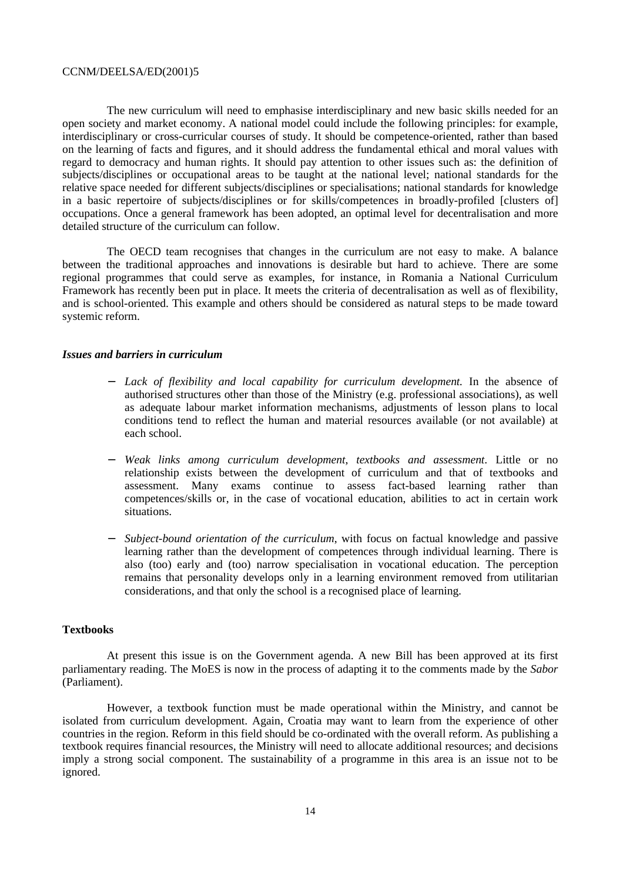The new curriculum will need to emphasise interdisciplinary and new basic skills needed for an open society and market economy. A national model could include the following principles: for example, interdisciplinary or cross-curricular courses of study. It should be competence-oriented, rather than based on the learning of facts and figures, and it should address the fundamental ethical and moral values with regard to democracy and human rights. It should pay attention to other issues such as: the definition of subjects/disciplines or occupational areas to be taught at the national level; national standards for the relative space needed for different subjects/disciplines or specialisations; national standards for knowledge in a basic repertoire of subjects/disciplines or for skills/competences in broadly-profiled [clusters of] occupations. Once a general framework has been adopted, an optimal level for decentralisation and more detailed structure of the curriculum can follow.

The OECD team recognises that changes in the curriculum are not easy to make. A balance between the traditional approaches and innovations is desirable but hard to achieve. There are some regional programmes that could serve as examples, for instance, in Romania a National Curriculum Framework has recently been put in place. It meets the criteria of decentralisation as well as of flexibility, and is school-oriented. This example and others should be considered as natural steps to be made toward systemic reform.

#### *Issues and barriers in curriculum*

- − *Lack of flexibility and local capability for curriculum development.* In the absence of authorised structures other than those of the Ministry (e.g. professional associations), as well as adequate labour market information mechanisms, adjustments of lesson plans to local conditions tend to reflect the human and material resources available (or not available) at each school.
- − *Weak links among curriculum development*, *textbooks and assessment*. Little or no relationship exists between the development of curriculum and that of textbooks and assessment. Many exams continue to assess fact-based learning rather than competences/skills or, in the case of vocational education, abilities to act in certain work situations.
- Subject-bound orientation of the curriculum, with focus on factual knowledge and passive learning rather than the development of competences through individual learning. There is also (too) early and (too) narrow specialisation in vocational education. The perception remains that personality develops only in a learning environment removed from utilitarian considerations, and that only the school is a recognised place of learning*.*

# **Textbooks**

At present this issue is on the Government agenda. A new Bill has been approved at its first parliamentary reading. The MoES is now in the process of adapting it to the comments made by the *Sabor* (Parliament).

However, a textbook function must be made operational within the Ministry, and cannot be isolated from curriculum development. Again, Croatia may want to learn from the experience of other countries in the region. Reform in this field should be co-ordinated with the overall reform. As publishing a textbook requires financial resources, the Ministry will need to allocate additional resources; and decisions imply a strong social component. The sustainability of a programme in this area is an issue not to be ignored.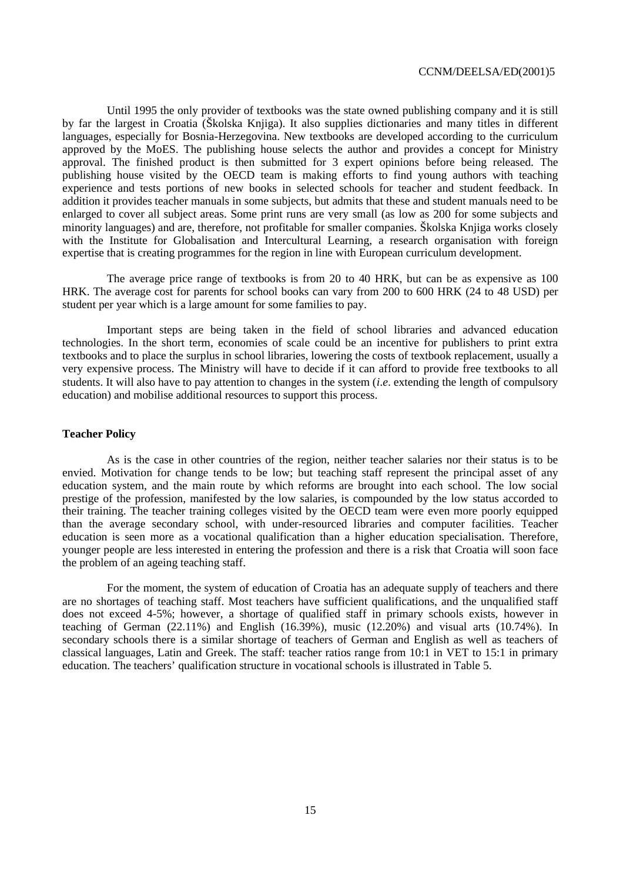Until 1995 the only provider of textbooks was the state owned publishing company and it is still by far the largest in Croatia (Školska Knjiga). It also supplies dictionaries and many titles in different languages, especially for Bosnia-Herzegovina. New textbooks are developed according to the curriculum approved by the MoES. The publishing house selects the author and provides a concept for Ministry approval. The finished product is then submitted for 3 expert opinions before being released. The publishing house visited by the OECD team is making efforts to find young authors with teaching experience and tests portions of new books in selected schools for teacher and student feedback. In addition it provides teacher manuals in some subjects, but admits that these and student manuals need to be enlarged to cover all subject areas. Some print runs are very small (as low as 200 for some subjects and minority languages) and are, therefore, not profitable for smaller companies. Školska Knjiga works closely with the Institute for Globalisation and Intercultural Learning, a research organisation with foreign expertise that is creating programmes for the region in line with European curriculum development.

The average price range of textbooks is from 20 to 40 HRK, but can be as expensive as 100 HRK. The average cost for parents for school books can vary from 200 to 600 HRK (24 to 48 USD) per student per year which is a large amount for some families to pay.

Important steps are being taken in the field of school libraries and advanced education technologies. In the short term, economies of scale could be an incentive for publishers to print extra textbooks and to place the surplus in school libraries, lowering the costs of textbook replacement, usually a very expensive process. The Ministry will have to decide if it can afford to provide free textbooks to all students. It will also have to pay attention to changes in the system (*i*.*e*. extending the length of compulsory education) and mobilise additional resources to support this process.

# **Teacher Policy**

As is the case in other countries of the region, neither teacher salaries nor their status is to be envied. Motivation for change tends to be low; but teaching staff represent the principal asset of any education system, and the main route by which reforms are brought into each school. The low social prestige of the profession, manifested by the low salaries, is compounded by the low status accorded to their training. The teacher training colleges visited by the OECD team were even more poorly equipped than the average secondary school, with under-resourced libraries and computer facilities. Teacher education is seen more as a vocational qualification than a higher education specialisation. Therefore, younger people are less interested in entering the profession and there is a risk that Croatia will soon face the problem of an ageing teaching staff.

For the moment, the system of education of Croatia has an adequate supply of teachers and there are no shortages of teaching staff. Most teachers have sufficient qualifications, and the unqualified staff does not exceed 4-5%; however, a shortage of qualified staff in primary schools exists, however in teaching of German  $(22.11\%)$  and English  $(16.39\%)$ , music  $(12.20\%)$  and visual arts  $(10.74\%)$ . In secondary schools there is a similar shortage of teachers of German and English as well as teachers of classical languages, Latin and Greek. The staff: teacher ratios range from 10:1 in VET to 15:1 in primary education. The teachers' qualification structure in vocational schools is illustrated in Table 5.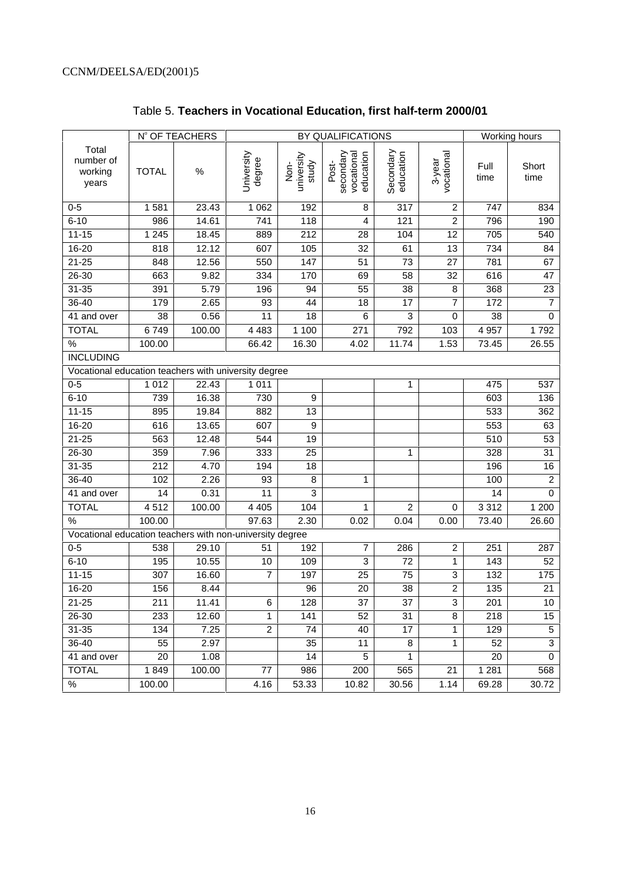|                                                          |                  | N° OF TEACHERS | BY QUALIFICATIONS    |                             |                                               |                        |                      |              | Working hours  |
|----------------------------------------------------------|------------------|----------------|----------------------|-----------------------------|-----------------------------------------------|------------------------|----------------------|--------------|----------------|
| Total<br>number of<br>working<br>years                   | <b>TOTAL</b>     | $\%$           | University<br>degree | university<br>Non-<br>study | secondary<br>vocational<br>education<br>Post- | Secondary<br>education | vocational<br>3-year | Full<br>time | Short<br>time  |
| $0 - 5$                                                  | 1581             | 23.43          | 1 0 6 2              | 192                         | 8                                             | 317                    | $\overline{2}$       | 747          | 834            |
| $6 - 10$                                                 | 986              | 14.61          | 741                  | 118                         | 4                                             | 121                    | $\overline{2}$       | 796          | 190            |
| $11 - 15$                                                | 1 2 4 5          | 18.45          | 889                  | 212                         | 28                                            | 104                    | 12                   | 705          | 540            |
| 16-20                                                    | 818              | 12.12          | 607                  | 105                         | 32                                            | 61                     | 13                   | 734          | 84             |
| $21 - 25$                                                | 848              | 12.56          | 550                  | 147                         | 51                                            | 73                     | 27                   | 781          | 67             |
| 26-30                                                    | 663              | 9.82           | 334                  | 170                         | 69                                            | 58                     | 32                   | 616          | 47             |
| $31 - 35$                                                | 391              | 5.79           | 196                  | 94                          | 55                                            | 38                     | 8                    | 368          | 23             |
| 36-40                                                    | 179              | 2.65           | 93                   | 44                          | 18                                            | 17                     | $\overline{7}$       | 172          | $\overline{7}$ |
| 41 and over                                              | 38               | 0.56           | 11                   | 18                          | 6                                             | 3                      | $\mathbf 0$          | 38           | $\mathbf 0$    |
| <b>TOTAL</b>                                             | 6749             | 100.00         | 4 4 8 3              | 1 100                       | 271                                           | 792                    | 103                  | 4 9 5 7      | 1792           |
| $\%$                                                     | 100.00           |                | 66.42                | 16.30                       | 4.02                                          | 11.74                  | 1.53                 | 73.45        | 26.55          |
| <b>INCLUDING</b>                                         |                  |                |                      |                             |                                               |                        |                      |              |                |
| Vocational education teachers with university degree     |                  |                |                      |                             |                                               |                        |                      |              |                |
| $0 - 5$                                                  | 1012             | 22.43          | 1 0 1 1              |                             |                                               | 1                      |                      | 475          | 537            |
| $6 - 10$                                                 | 739              | 16.38          | 730                  | 9                           |                                               |                        |                      | 603          | 136            |
| $11 - 15$                                                | 895              | 19.84          | 882                  | 13                          |                                               |                        |                      | 533          | 362            |
| 16-20                                                    | 616              | 13.65          | 607                  | 9                           |                                               |                        |                      | 553          | 63             |
| $21 - 25$                                                | 563              | 12.48          | 544                  | 19                          |                                               |                        |                      | 510          | 53             |
| 26-30                                                    | 359              | 7.96           | 333                  | 25                          |                                               | $\mathbf{1}$           |                      | 328          | 31             |
| $31 - 35$                                                | 212              | 4.70           | 194                  | 18                          |                                               |                        |                      | 196          | 16             |
| 36-40                                                    | 102              | 2.26           | 93                   | 8                           | 1                                             |                        |                      | 100          | $\overline{c}$ |
| 41 and over                                              | 14               | 0.31           | 11                   | 3                           |                                               |                        |                      | 14           | $\mathbf 0$    |
| <b>TOTAL</b>                                             | 4512             | 100.00         | 4 4 0 5              | 104                         | 1                                             | $\overline{2}$         | 0                    | 3312         | 1 200          |
| $\%$                                                     | 100.00           |                | 97.63                | 2.30                        | 0.02                                          | 0.04                   | 0.00                 | 73.40        | 26.60          |
| Vocational education teachers with non-university degree |                  |                |                      |                             |                                               |                        |                      |              |                |
| $0 - 5$                                                  | 538              | 29.10          | 51                   | 192                         | 7                                             | 286                    | $\overline{c}$       | 251          | 287            |
| $6 - 10$                                                 | 195              | 10.55          | 10                   | 109                         | 3                                             | 72                     | $\mathbf{1}$         | 143          | 52             |
| $11 - 15$                                                | 307              | 16.60          | $\overline{7}$       | 197                         | 25                                            | $\overline{75}$        | 3                    | 132          | 175            |
| 16-20                                                    | 156              | 8.44           |                      | 96                          | 20                                            | 38                     | $\overline{c}$       | 135          | 21             |
| $21 - 25$                                                | $\overline{211}$ | 11.41          | 6                    | 128                         | $\overline{37}$                               | $\overline{37}$        | 3                    | 201          | 10             |
| 26-30                                                    | 233              | 12.60          | 1                    | 141                         | 52                                            | 31                     | 8                    | 218          | 15             |
| $31 - 35$                                                | 134              | 7.25           | $\overline{2}$       | 74                          | 40                                            | 17                     | 1                    | 129          | 5              |
| 36-40                                                    | 55               | 2.97           |                      | 35                          | 11                                            | 8                      | $\mathbf{1}$         | 52           | $\mathbf{3}$   |
| 41 and over                                              | 20               | 1.08           |                      | 14                          | 5                                             | 1                      |                      | 20           | $\mathbf 0$    |
| <b>TOTAL</b>                                             | 1849             | 100.00         | 77                   | 986                         | 200                                           | 565                    | 21                   | 1 2 8 1      | 568            |
| $\%$                                                     | 100.00           |                | 4.16                 | 53.33                       | 10.82                                         | 30.56                  | 1.14                 | 69.28        | 30.72          |

# Table 5. **Teachers in Vocational Education, first half-term 2000/01**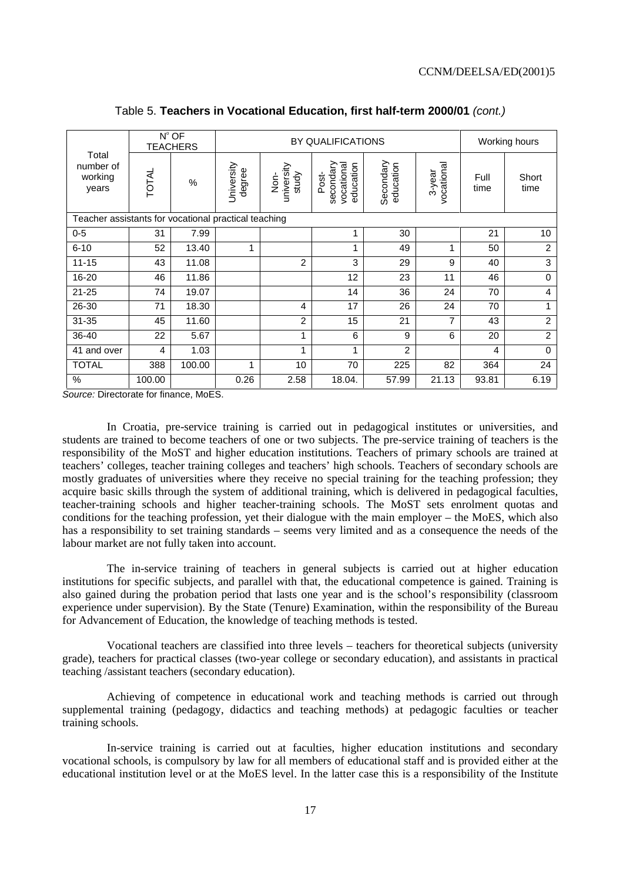|                                                      |                | $N^{\circ}$ OF<br><b>TEACHERS</b> |                      | BY QUALIFICATIONS           | Working hours                                 |                        |                      |              |                |
|------------------------------------------------------|----------------|-----------------------------------|----------------------|-----------------------------|-----------------------------------------------|------------------------|----------------------|--------------|----------------|
| Total<br>number of<br>working<br>years               | TOTAL          | $\%$                              | University<br>degree | university<br>study<br>Non- | secondary<br>vocational<br>education<br>Post- | Secondary<br>education | vocational<br>3-year | Full<br>time | Short<br>time  |
| Teacher assistants for vocational practical teaching |                |                                   |                      |                             |                                               |                        |                      |              |                |
| $0-5$                                                | 31             | 7.99                              |                      |                             | 1                                             | 30                     |                      | 21           | 10             |
| $6 - 10$                                             | 52             | 13.40                             | 1                    |                             | 1                                             | 49                     |                      | 50           | $\overline{2}$ |
| $11 - 15$                                            | 43             | 11.08                             |                      | 2                           | 3                                             | 29                     | 9                    | 40           | 3              |
| 16-20                                                | 46             | 11.86                             |                      |                             | 12                                            | 23                     | 11                   | 46           | $\mathbf 0$    |
| $21 - 25$                                            | 74             | 19.07                             |                      |                             | 14                                            | 36                     | 24                   | 70           | $\overline{4}$ |
| 26-30                                                | 71             | 18.30                             |                      | $\overline{4}$              | 17                                            | 26                     | 24                   | 70           | 1              |
| $31 - 35$                                            | 45             | 11.60                             |                      | $\overline{c}$              | 15                                            | 21                     | 7                    | 43           | $\overline{c}$ |
| 36-40                                                | 22             | 5.67                              |                      | 1                           | 6                                             | 9                      | 6                    | 20           | $\overline{2}$ |
| 41 and over                                          | $\overline{4}$ | 1.03                              |                      | 1                           | 1                                             | $\overline{2}$         |                      | 4            | $\mathbf 0$    |
| <b>TOTAL</b>                                         | 388            | 100.00                            | 1                    | 10                          | 70                                            | 225                    | 82                   | 364          | 24             |
| $\%$                                                 | 100.00         |                                   | 0.26                 | 2.58                        | 18.04.                                        | 57.99                  | 21.13                | 93.81        | 6.19           |

Table 5. **Teachers in Vocational Education, first half-term 2000/01** (cont.)

Source: Directorate for finance, MoES.

In Croatia, pre-service training is carried out in pedagogical institutes or universities, and students are trained to become teachers of one or two subjects. The pre-service training of teachers is the responsibility of the MoST and higher education institutions. Teachers of primary schools are trained at teachers' colleges, teacher training colleges and teachers' high schools. Teachers of secondary schools are mostly graduates of universities where they receive no special training for the teaching profession; they acquire basic skills through the system of additional training, which is delivered in pedagogical faculties, teacher-training schools and higher teacher-training schools. The MoST sets enrolment quotas and conditions for the teaching profession, yet their dialogue with the main employer – the MoES, which also has a responsibility to set training standards – seems very limited and as a consequence the needs of the labour market are not fully taken into account.

The in-service training of teachers in general subjects is carried out at higher education institutions for specific subjects, and parallel with that, the educational competence is gained. Training is also gained during the probation period that lasts one year and is the school's responsibility (classroom experience under supervision). By the State (Tenure) Examination, within the responsibility of the Bureau for Advancement of Education, the knowledge of teaching methods is tested.

Vocational teachers are classified into three levels – teachers for theoretical subjects (university grade), teachers for practical classes (two-year college or secondary education), and assistants in practical teaching /assistant teachers (secondary education).

Achieving of competence in educational work and teaching methods is carried out through supplemental training (pedagogy, didactics and teaching methods) at pedagogic faculties or teacher training schools.

In-service training is carried out at faculties, higher education institutions and secondary vocational schools, is compulsory by law for all members of educational staff and is provided either at the educational institution level or at the MoES level. In the latter case this is a responsibility of the Institute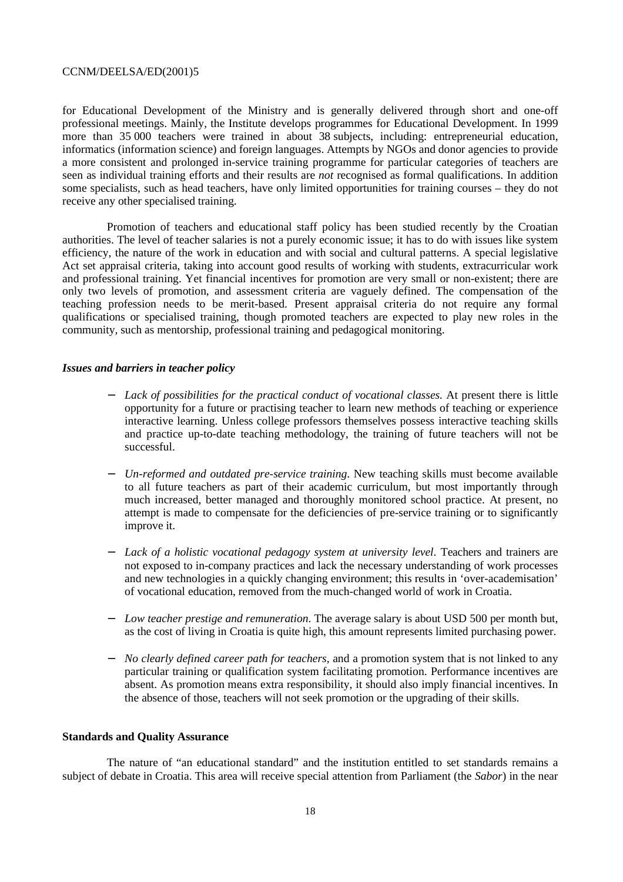for Educational Development of the Ministry and is generally delivered through short and one-off professional meetings. Mainly, the Institute develops programmes for Educational Development. In 1999 more than 35 000 teachers were trained in about 38 subjects, including: entrepreneurial education, informatics (information science) and foreign languages. Attempts by NGOs and donor agencies to provide a more consistent and prolonged in-service training programme for particular categories of teachers are seen as individual training efforts and their results are *not* recognised as formal qualifications. In addition some specialists, such as head teachers, have only limited opportunities for training courses – they do not receive any other specialised training.

Promotion of teachers and educational staff policy has been studied recently by the Croatian authorities. The level of teacher salaries is not a purely economic issue; it has to do with issues like system efficiency, the nature of the work in education and with social and cultural patterns. A special legislative Act set appraisal criteria, taking into account good results of working with students, extracurricular work and professional training. Yet financial incentives for promotion are very small or non-existent; there are only two levels of promotion, and assessment criteria are vaguely defined. The compensation of the teaching profession needs to be merit-based. Present appraisal criteria do not require any formal qualifications or specialised training, though promoted teachers are expected to play new roles in the community, such as mentorship, professional training and pedagogical monitoring.

#### *Issues and barriers in teacher policy*

- − *Lack of possibilities for the practical conduct of vocational classes.* At present there is little opportunity for a future or practising teacher to learn new methods of teaching or experience interactive learning. Unless college professors themselves possess interactive teaching skills and practice up-to-date teaching methodology, the training of future teachers will not be successful.
- − *Un-reformed and outdated pre-service training*. New teaching skills must become available to all future teachers as part of their academic curriculum, but most importantly through much increased, better managed and thoroughly monitored school practice. At present, no attempt is made to compensate for the deficiencies of pre-service training or to significantly improve it.
- − *Lack of a holistic vocational pedagogy system at university level*. Teachers and trainers are not exposed to in-company practices and lack the necessary understanding of work processes and new technologies in a quickly changing environment; this results in 'over-academisation' of vocational education, removed from the much-changed world of work in Croatia.
- − *Low teacher prestige and remuneration*. The average salary is about USD 500 per month but, as the cost of living in Croatia is quite high, this amount represents limited purchasing power.
- − *No clearly defined career path for teachers,* and a promotion system that is not linked to any particular training or qualification system facilitating promotion. Performance incentives are absent. As promotion means extra responsibility, it should also imply financial incentives. In the absence of those, teachers will not seek promotion or the upgrading of their skills*.*

#### **Standards and Quality Assurance**

The nature of "an educational standard" and the institution entitled to set standards remains a subject of debate in Croatia. This area will receive special attention from Parliament (the *Sabor*) in the near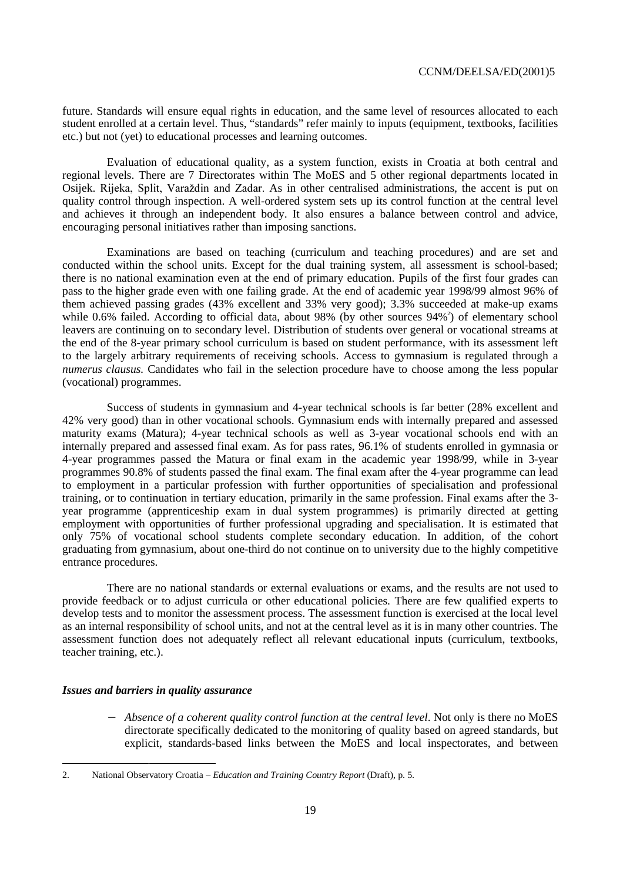future. Standards will ensure equal rights in education, and the same level of resources allocated to each student enrolled at a certain level. Thus, "standards" refer mainly to inputs (equipment, textbooks, facilities etc.) but not (yet) to educational processes and learning outcomes.

Evaluation of educational quality, as a system function, exists in Croatia at both central and regional levels. There are 7 Directorates within The MoES and 5 other regional departments located in Osijek. Rijeka, Split, Varaždin and Zadar. As in other centralised administrations, the accent is put on quality control through inspection. A well-ordered system sets up its control function at the central level and achieves it through an independent body. It also ensures a balance between control and advice, encouraging personal initiatives rather than imposing sanctions.

Examinations are based on teaching (curriculum and teaching procedures) and are set and conducted within the school units. Except for the dual training system, all assessment is school-based; there is no national examination even at the end of primary education. Pupils of the first four grades can pass to the higher grade even with one failing grade. At the end of academic year 1998/99 almost 96% of them achieved passing grades (43% excellent and 33% very good); 3.3% succeeded at make-up exams while 0.6% failed. According to official data, about 98% (by other sources 94%<sup>2</sup>) of elementary school leavers are continuing on to secondary level. Distribution of students over general or vocational streams at the end of the 8-year primary school curriculum is based on student performance, with its assessment left to the largely arbitrary requirements of receiving schools. Access to gymnasium is regulated through a *numerus clausus.* Candidates who fail in the selection procedure have to choose among the less popular (vocational) programmes.

Success of students in gymnasium and 4-year technical schools is far better (28% excellent and 42% very good) than in other vocational schools. Gymnasium ends with internally prepared and assessed maturity exams (Matura); 4-year technical schools as well as 3-year vocational schools end with an internally prepared and assessed final exam. As for pass rates, 96.1% of students enrolled in gymnasia or 4-year programmes passed the Matura or final exam in the academic year 1998/99, while in 3-year programmes 90.8% of students passed the final exam. The final exam after the 4-year programme can lead to employment in a particular profession with further opportunities of specialisation and professional training, or to continuation in tertiary education, primarily in the same profession. Final exams after the 3 year programme (apprenticeship exam in dual system programmes) is primarily directed at getting employment with opportunities of further professional upgrading and specialisation. It is estimated that only 75% of vocational school students complete secondary education. In addition, of the cohort graduating from gymnasium, about one-third do not continue on to university due to the highly competitive entrance procedures.

There are no national standards or external evaluations or exams, and the results are not used to provide feedback or to adjust curricula or other educational policies. There are few qualified experts to develop tests and to monitor the assessment process. The assessment function is exercised at the local level as an internal responsibility of school units, and not at the central level as it is in many other countries. The assessment function does not adequately reflect all relevant educational inputs (curriculum, textbooks, teacher training, etc.).

#### *Issues and barriers in quality assurance*

− *Absence of a coherent quality control function at the central level*. Not only is there no MoES directorate specifically dedicated to the monitoring of quality based on agreed standards, but explicit, standards-based links between the MoES and local inspectorates, and between

 <sup>2.</sup> National Observatory Croatia – *Education and Training Country Report* (Draft), p. 5.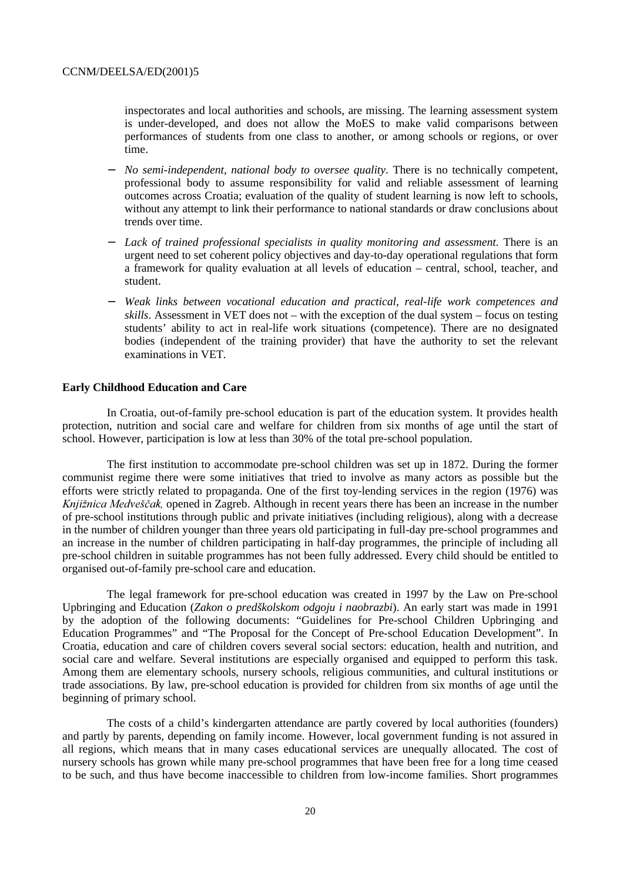inspectorates and local authorities and schools, are missing. The learning assessment system is under-developed, and does not allow the MoES to make valid comparisons between performances of students from one class to another, or among schools or regions, or over time.

- *No semi-independent, national body to oversee quality*. There is no technically competent, professional body to assume responsibility for valid and reliable assessment of learning outcomes across Croatia; evaluation of the quality of student learning is now left to schools, without any attempt to link their performance to national standards or draw conclusions about trends over time.
- − *Lack of trained professional specialists in quality monitoring and assessment*. There is an urgent need to set coherent policy objectives and day-to-day operational regulations that form a framework for quality evaluation at all levels of education – central, school, teacher, and student.
- − *Weak links between vocational education and practical, real-life work competences and skills*. Assessment in VET does not – with the exception of the dual system – focus on testing students' ability to act in real-life work situations (competence). There are no designated bodies (independent of the training provider) that have the authority to set the relevant examinations in VET*.*

#### **Early Childhood Education and Care**

In Croatia, out-of-family pre-school education is part of the education system. It provides health protection, nutrition and social care and welfare for children from six months of age until the start of school. However, participation is low at less than 30% of the total pre-school population.

The first institution to accommodate pre-school children was set up in 1872. During the former communist regime there were some initiatives that tried to involve as many actors as possible but the efforts were strictly related to propaganda. One of the first toy-lending services in the region (1976) was Knjižnica Medveščak, opened in Zagreb. Although in recent years there has been an increase in the number of pre-school institutions through public and private initiatives (including religious), along with a decrease in the number of children younger than three years old participating in full-day pre-school programmes and an increase in the number of children participating in half-day programmes, the principle of including all pre-school children in suitable programmes has not been fully addressed. Every child should be entitled to organised out-of-family pre-school care and education.

The legal framework for pre-school education was created in 1997 by the Law on Pre-school Upbringing and Education (*Zakon o predškolskom odgoju i naobrazbi*). An early start was made in 1991 by the adoption of the following documents: "Guidelines for Pre-school Children Upbringing and Education Programmes" and "The Proposal for the Concept of Pre-school Education Development". In Croatia, education and care of children covers several social sectors: education, health and nutrition, and social care and welfare. Several institutions are especially organised and equipped to perform this task. Among them are elementary schools, nursery schools, religious communities, and cultural institutions or trade associations. By law, pre-school education is provided for children from six months of age until the beginning of primary school.

The costs of a child's kindergarten attendance are partly covered by local authorities (founders) and partly by parents, depending on family income. However, local government funding is not assured in all regions, which means that in many cases educational services are unequally allocated. The cost of nursery schools has grown while many pre-school programmes that have been free for a long time ceased to be such, and thus have become inaccessible to children from low-income families. Short programmes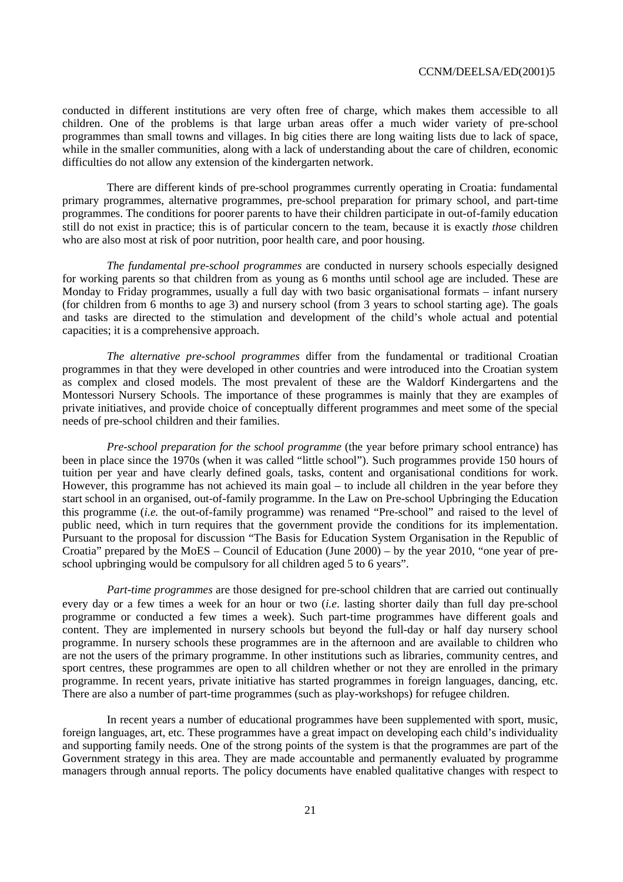conducted in different institutions are very often free of charge, which makes them accessible to all children. One of the problems is that large urban areas offer a much wider variety of pre-school programmes than small towns and villages. In big cities there are long waiting lists due to lack of space, while in the smaller communities, along with a lack of understanding about the care of children, economic difficulties do not allow any extension of the kindergarten network.

There are different kinds of pre-school programmes currently operating in Croatia: fundamental primary programmes, alternative programmes, pre-school preparation for primary school, and part-time programmes. The conditions for poorer parents to have their children participate in out-of-family education still do not exist in practice; this is of particular concern to the team, because it is exactly *those* children who are also most at risk of poor nutrition, poor health care, and poor housing.

*The fundamental pre-school programmes* are conducted in nursery schools especially designed for working parents so that children from as young as 6 months until school age are included. These are Monday to Friday programmes, usually a full day with two basic organisational formats – infant nursery (for children from 6 months to age 3) and nursery school (from 3 years to school starting age). The goals and tasks are directed to the stimulation and development of the child's whole actual and potential capacities; it is a comprehensive approach.

*The alternative pre-school programmes* differ from the fundamental or traditional Croatian programmes in that they were developed in other countries and were introduced into the Croatian system as complex and closed models. The most prevalent of these are the Waldorf Kindergartens and the Montessori Nursery Schools. The importance of these programmes is mainly that they are examples of private initiatives, and provide choice of conceptually different programmes and meet some of the special needs of pre-school children and their families.

*Pre-school preparation for the school programme* (the year before primary school entrance) has been in place since the 1970s (when it was called "little school"). Such programmes provide 150 hours of tuition per year and have clearly defined goals, tasks, content and organisational conditions for work. However, this programme has not achieved its main goal – to include all children in the year before they start school in an organised, out-of-family programme. In the Law on Pre-school Upbringing the Education this programme (*i.e.* the out-of-family programme) was renamed "Pre-school" and raised to the level of public need, which in turn requires that the government provide the conditions for its implementation. Pursuant to the proposal for discussion "The Basis for Education System Organisation in the Republic of Croatia" prepared by the MoES – Council of Education (June 2000) – by the year 2010, "one year of preschool upbringing would be compulsory for all children aged 5 to 6 years".

*Part-time programmes* are those designed for pre-school children that are carried out continually every day or a few times a week for an hour or two (*i.e*. lasting shorter daily than full day pre-school programme or conducted a few times a week). Such part-time programmes have different goals and content. They are implemented in nursery schools but beyond the full-day or half day nursery school programme. In nursery schools these programmes are in the afternoon and are available to children who are not the users of the primary programme. In other institutions such as libraries, community centres, and sport centres, these programmes are open to all children whether or not they are enrolled in the primary programme. In recent years, private initiative has started programmes in foreign languages, dancing, etc. There are also a number of part-time programmes (such as play-workshops) for refugee children.

In recent years a number of educational programmes have been supplemented with sport, music, foreign languages, art, etc. These programmes have a great impact on developing each child's individuality and supporting family needs. One of the strong points of the system is that the programmes are part of the Government strategy in this area. They are made accountable and permanently evaluated by programme managers through annual reports. The policy documents have enabled qualitative changes with respect to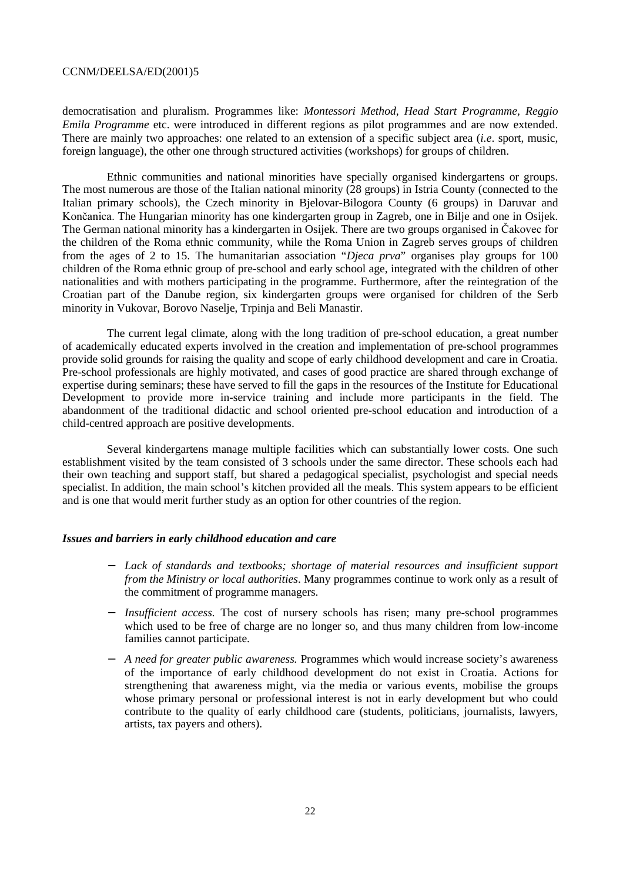democratisation and pluralism. Programmes like: *Montessori Method, Head Start Programme, Reggio Emila Programme* etc. were introduced in different regions as pilot programmes and are now extended. There are mainly two approaches: one related to an extension of a specific subject area (*i.e*. sport, music, foreign language), the other one through structured activities (workshops) for groups of children.

Ethnic communities and national minorities have specially organised kindergartens or groups. The most numerous are those of the Italian national minority (28 groups) in Istria County (connected to the Italian primary schools), the Czech minority in Bjelovar-Bilogora County (6 groups) in Daruvar and Končanica. The Hungarian minority has one kindergarten group in Zagreb, one in Bilje and one in Osijek. The German national minority has a kindergarten in Osijek. There are two groups organised in Čakovec for the children of the Roma ethnic community, while the Roma Union in Zagreb serves groups of children from the ages of 2 to 15. The humanitarian association "*Djeca prva*" organises play groups for 100 children of the Roma ethnic group of pre-school and early school age, integrated with the children of other nationalities and with mothers participating in the programme. Furthermore, after the reintegration of the Croatian part of the Danube region, six kindergarten groups were organised for children of the Serb minority in Vukovar, Borovo Naselje, Trpinja and Beli Manastir.

The current legal climate, along with the long tradition of pre-school education, a great number of academically educated experts involved in the creation and implementation of pre-school programmes provide solid grounds for raising the quality and scope of early childhood development and care in Croatia. Pre-school professionals are highly motivated, and cases of good practice are shared through exchange of expertise during seminars; these have served to fill the gaps in the resources of the Institute for Educational Development to provide more in-service training and include more participants in the field. The abandonment of the traditional didactic and school oriented pre-school education and introduction of a child-centred approach are positive developments.

Several kindergartens manage multiple facilities which can substantially lower costs. One such establishment visited by the team consisted of 3 schools under the same director. These schools each had their own teaching and support staff, but shared a pedagogical specialist, psychologist and special needs specialist. In addition, the main school's kitchen provided all the meals. This system appears to be efficient and is one that would merit further study as an option for other countries of the region.

#### *Issues and barriers in early childhood education and care*

- − *Lack of standards and textbooks; shortage of material resources and insufficient support from the Ministry or local authorities*. Many programmes continue to work only as a result of the commitment of programme managers.
- − *Insufficient access.* The cost of nursery schools has risen; many pre-school programmes which used to be free of charge are no longer so, and thus many children from low-income families cannot participate.
- − *A need for greater public awareness.* Programmes which would increase society's awareness of the importance of early childhood development do not exist in Croatia. Actions for strengthening that awareness might, via the media or various events, mobilise the groups whose primary personal or professional interest is not in early development but who could contribute to the quality of early childhood care (students, politicians, journalists, lawyers, artists, tax payers and others).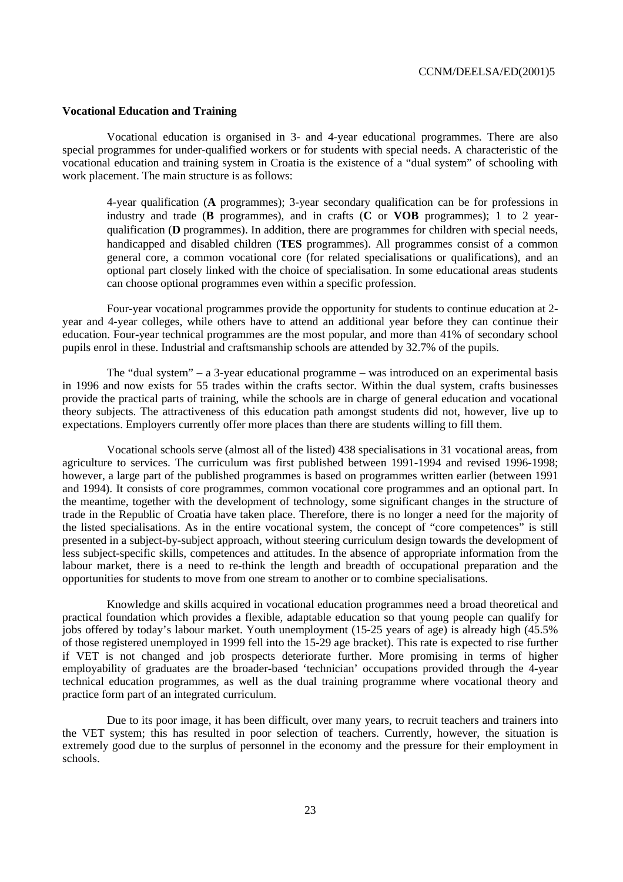#### **Vocational Education and Training**

Vocational education is organised in 3- and 4-year educational programmes. There are also special programmes for under-qualified workers or for students with special needs. A characteristic of the vocational education and training system in Croatia is the existence of a "dual system" of schooling with work placement. The main structure is as follows:

4-year qualification (**A** programmes); 3-year secondary qualification can be for professions in industry and trade (**B** programmes), and in crafts (**C** or **VOB** programmes); 1 to 2 yearqualification (**D** programmes). In addition, there are programmes for children with special needs, handicapped and disabled children (**TES** programmes). All programmes consist of a common general core, a common vocational core (for related specialisations or qualifications), and an optional part closely linked with the choice of specialisation. In some educational areas students can choose optional programmes even within a specific profession.

Four-year vocational programmes provide the opportunity for students to continue education at 2 year and 4-year colleges, while others have to attend an additional year before they can continue their education. Four-year technical programmes are the most popular, and more than 41% of secondary school pupils enrol in these. Industrial and craftsmanship schools are attended by 32.7% of the pupils.

The "dual system" – a 3-year educational programme – was introduced on an experimental basis in 1996 and now exists for 55 trades within the crafts sector. Within the dual system, crafts businesses provide the practical parts of training, while the schools are in charge of general education and vocational theory subjects. The attractiveness of this education path amongst students did not, however, live up to expectations. Employers currently offer more places than there are students willing to fill them.

Vocational schools serve (almost all of the listed) 438 specialisations in 31 vocational areas, from agriculture to services. The curriculum was first published between 1991-1994 and revised 1996-1998; however, a large part of the published programmes is based on programmes written earlier (between 1991 and 1994). It consists of core programmes, common vocational core programmes and an optional part. In the meantime, together with the development of technology, some significant changes in the structure of trade in the Republic of Croatia have taken place. Therefore, there is no longer a need for the majority of the listed specialisations. As in the entire vocational system, the concept of "core competences" is still presented in a subject-by-subject approach, without steering curriculum design towards the development of less subject-specific skills, competences and attitudes. In the absence of appropriate information from the labour market, there is a need to re-think the length and breadth of occupational preparation and the opportunities for students to move from one stream to another or to combine specialisations.

Knowledge and skills acquired in vocational education programmes need a broad theoretical and practical foundation which provides a flexible, adaptable education so that young people can qualify for jobs offered by today's labour market. Youth unemployment (15-25 years of age) is already high (45.5% of those registered unemployed in 1999 fell into the 15-29 age bracket). This rate is expected to rise further if VET is not changed and job prospects deteriorate further. More promising in terms of higher employability of graduates are the broader-based 'technician' occupations provided through the 4-year technical education programmes, as well as the dual training programme where vocational theory and practice form part of an integrated curriculum.

Due to its poor image, it has been difficult, over many years, to recruit teachers and trainers into the VET system; this has resulted in poor selection of teachers. Currently, however, the situation is extremely good due to the surplus of personnel in the economy and the pressure for their employment in schools.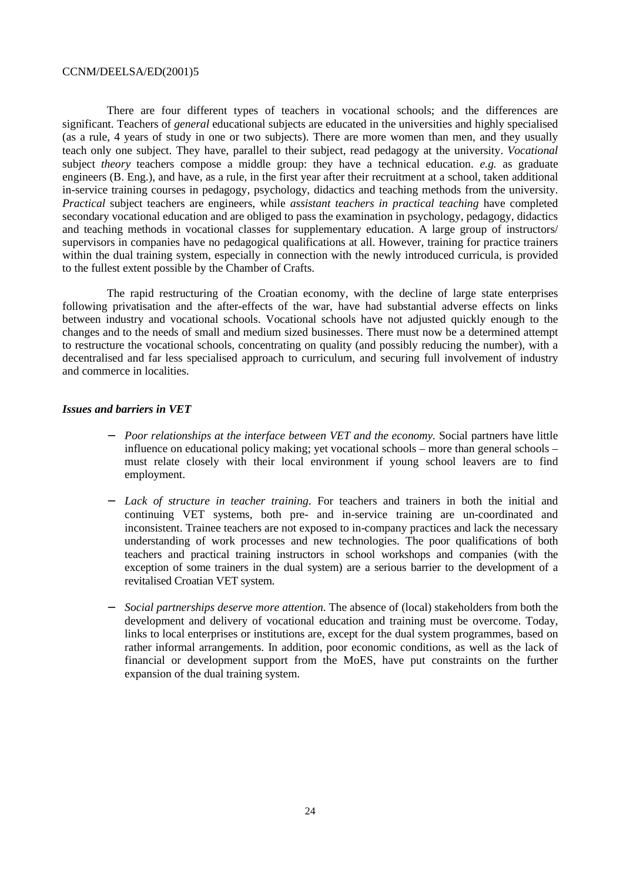There are four different types of teachers in vocational schools; and the differences are significant. Teachers of *general* educational subjects are educated in the universities and highly specialised (as a rule, 4 years of study in one or two subjects). There are more women than men, and they usually teach only one subject. They have, parallel to their subject, read pedagogy at the university. *Vocational* subject *theory* teachers compose a middle group: they have a technical education. *e.g.* as graduate engineers (B. Eng.), and have, as a rule, in the first year after their recruitment at a school, taken additional in-service training courses in pedagogy, psychology, didactics and teaching methods from the university. *Practical* subject teachers are engineers, while *assistant teachers in practical teaching* have completed secondary vocational education and are obliged to pass the examination in psychology, pedagogy, didactics and teaching methods in vocational classes for supplementary education. A large group of instructors/ supervisors in companies have no pedagogical qualifications at all. However, training for practice trainers within the dual training system, especially in connection with the newly introduced curricula, is provided to the fullest extent possible by the Chamber of Crafts.

The rapid restructuring of the Croatian economy, with the decline of large state enterprises following privatisation and the after-effects of the war, have had substantial adverse effects on links between industry and vocational schools. Vocational schools have not adjusted quickly enough to the changes and to the needs of small and medium sized businesses. There must now be a determined attempt to restructure the vocational schools, concentrating on quality (and possibly reducing the number), with a decentralised and far less specialised approach to curriculum, and securing full involvement of industry and commerce in localities.

# *Issues and barriers in VET*

- *Poor relationships at the interface between VET and the economy.* Social partners have little influence on educational policy making; yet vocational schools – more than general schools – must relate closely with their local environment if young school leavers are to find employment.
- − *Lack of structure in teacher training*. For teachers and trainers in both the initial and continuing VET systems, both pre- and in-service training are un-coordinated and inconsistent. Trainee teachers are not exposed to in-company practices and lack the necessary understanding of work processes and new technologies. The poor qualifications of both teachers and practical training instructors in school workshops and companies (with the exception of some trainers in the dual system) are a serious barrier to the development of a revitalised Croatian VET system.
- − *Social partnerships deserve more attention.* The absence of (local) stakeholders from both the development and delivery of vocational education and training must be overcome. Today, links to local enterprises or institutions are, except for the dual system programmes, based on rather informal arrangements. In addition, poor economic conditions, as well as the lack of financial or development support from the MoES, have put constraints on the further expansion of the dual training system.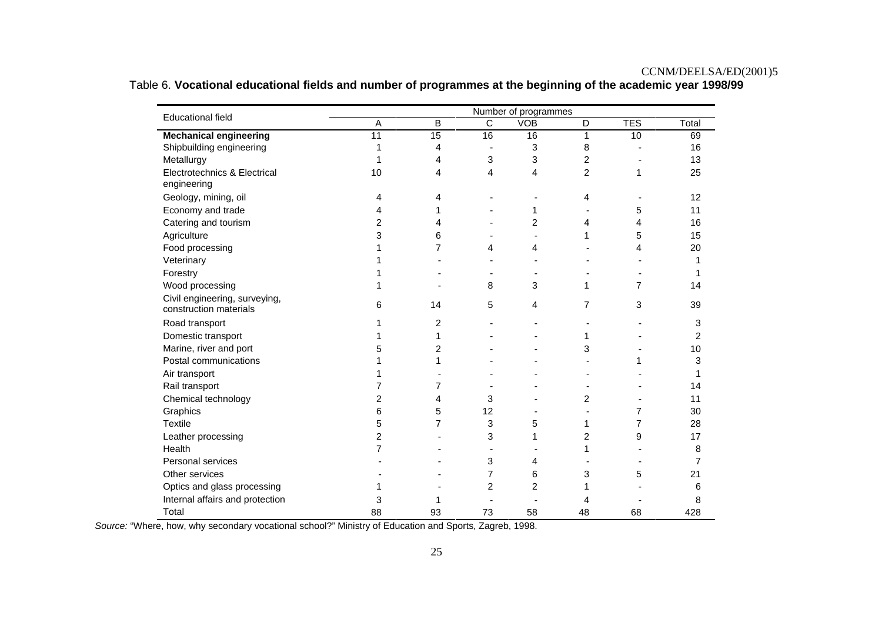|                                                         | Number of programmes |    |              |                |                |                |       |  |  |  |
|---------------------------------------------------------|----------------------|----|--------------|----------------|----------------|----------------|-------|--|--|--|
| <b>Educational field</b>                                | A                    | B  | $\mathsf{C}$ | <b>VOB</b>     | D              | <b>TES</b>     | Total |  |  |  |
| <b>Mechanical engineering</b>                           | 11                   | 15 | 16           | 16             | 1              | 10             | 69    |  |  |  |
| Shipbuilding engineering                                |                      | 4  |              | 3              | 8              |                | 16    |  |  |  |
| Metallurgy                                              | 1                    | 4  | 3            | 3              | 2              |                | 13    |  |  |  |
| Electrotechnics & Electrical<br>engineering             | 10                   | 4  | 4            | 4              | $\overline{2}$ | 1              | 25    |  |  |  |
| Geology, mining, oil                                    | 4                    | 4  |              |                | 4              |                | 12    |  |  |  |
| Economy and trade                                       | 4                    |    |              | 1              |                | 5              | 11    |  |  |  |
| Catering and tourism                                    | 2                    | 4  |              | 2              | 4              | 4              | 16    |  |  |  |
| Agriculture                                             | 3                    | 6  |              |                | 1              | 5              | 15    |  |  |  |
| Food processing                                         |                      | 7  | 4            | 4              |                | 4              | 20    |  |  |  |
| Veterinary                                              |                      |    |              |                |                |                |       |  |  |  |
| Forestry                                                |                      |    |              |                |                |                | 1     |  |  |  |
| Wood processing                                         |                      |    | 8            | 3              | 1              | $\overline{7}$ | 14    |  |  |  |
| Civil engineering, surveying,<br>construction materials | 6                    | 14 | 5            | 4              | 7              | 3              | 39    |  |  |  |
| Road transport                                          |                      | 2  |              |                |                |                | 3     |  |  |  |
| Domestic transport                                      |                      |    |              |                | 1              |                | 2     |  |  |  |
| Marine, river and port                                  | 5                    | 2  |              |                | 3              |                | 10    |  |  |  |
| Postal communications                                   |                      | 1  |              |                |                | 1              | 3     |  |  |  |
| Air transport                                           |                      |    |              |                |                |                |       |  |  |  |
| Rail transport                                          |                      | 7  |              |                |                |                | 14    |  |  |  |
| Chemical technology                                     | 2                    | 4  | 3            |                | $\overline{2}$ |                | 11    |  |  |  |
| Graphics                                                | 6                    | 5  | 12           |                |                | 7              | 30    |  |  |  |
| <b>Textile</b>                                          | 5                    | 7  | 3            | 5              | 1              |                | 28    |  |  |  |
| Leather processing                                      | 2                    |    | 3            | 1              | 2              | 9              | 17    |  |  |  |
| Health                                                  | 7                    |    |              |                | 1              |                | 8     |  |  |  |
| Personal services                                       |                      |    | 3            | 4              |                |                | 7     |  |  |  |
| Other services                                          |                      |    | 7            | 6              | 3              | 5              | 21    |  |  |  |
| Optics and glass processing                             |                      |    | 2            | $\overline{2}$ | 1              |                | 6     |  |  |  |
| Internal affairs and protection                         |                      |    |              |                |                |                | 8     |  |  |  |
| Total                                                   | 88                   | 93 | 73           | 58             | 48             | 68             | 428   |  |  |  |

# Table 6. **Vocational educational fields and number of programmes at the beginning of the academic year 1998/99**

Source: "Where, how, why secondary vocational school?" Ministry of Education and Sports, Zagreb, 1998.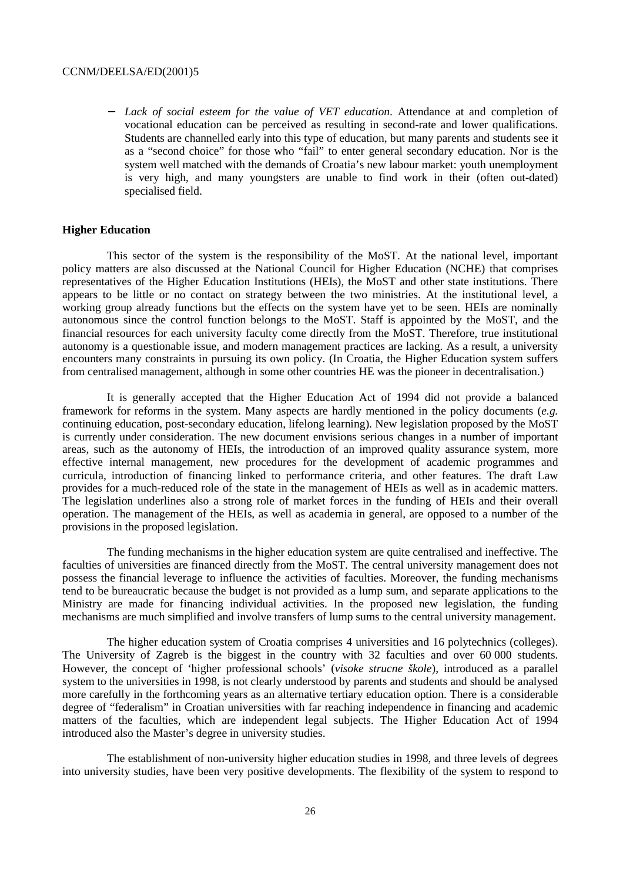− *Lack of social esteem for the value of VET education*. Attendance at and completion of vocational education can be perceived as resulting in second-rate and lower qualifications. Students are channelled early into this type of education, but many parents and students see it as a "second choice" for those who "fail" to enter general secondary education. Nor is the system well matched with the demands of Croatia's new labour market: youth unemployment is very high, and many youngsters are unable to find work in their (often out-dated) specialised field.

# **Higher Education**

This sector of the system is the responsibility of the MoST. At the national level, important policy matters are also discussed at the National Council for Higher Education (NCHE) that comprises representatives of the Higher Education Institutions (HEIs), the MoST and other state institutions. There appears to be little or no contact on strategy between the two ministries. At the institutional level, a working group already functions but the effects on the system have yet to be seen. HEIs are nominally autonomous since the control function belongs to the MoST. Staff is appointed by the MoST, and the financial resources for each university faculty come directly from the MoST. Therefore, true institutional autonomy is a questionable issue, and modern management practices are lacking. As a result, a university encounters many constraints in pursuing its own policy. (In Croatia, the Higher Education system suffers from centralised management, although in some other countries HE was the pioneer in decentralisation.)

It is generally accepted that the Higher Education Act of 1994 did not provide a balanced framework for reforms in the system. Many aspects are hardly mentioned in the policy documents (*e.g.* continuing education, post-secondary education, lifelong learning). New legislation proposed by the MoST is currently under consideration. The new document envisions serious changes in a number of important areas, such as the autonomy of HEIs, the introduction of an improved quality assurance system, more effective internal management, new procedures for the development of academic programmes and curricula, introduction of financing linked to performance criteria, and other features. The draft Law provides for a much-reduced role of the state in the management of HEIs as well as in academic matters. The legislation underlines also a strong role of market forces in the funding of HEIs and their overall operation. The management of the HEIs, as well as academia in general, are opposed to a number of the provisions in the proposed legislation.

The funding mechanisms in the higher education system are quite centralised and ineffective. The faculties of universities are financed directly from the MoST. The central university management does not possess the financial leverage to influence the activities of faculties. Moreover, the funding mechanisms tend to be bureaucratic because the budget is not provided as a lump sum, and separate applications to the Ministry are made for financing individual activities. In the proposed new legislation, the funding mechanisms are much simplified and involve transfers of lump sums to the central university management.

The higher education system of Croatia comprises 4 universities and 16 polytechnics (colleges). The University of Zagreb is the biggest in the country with 32 faculties and over 60 000 students. However, the concept of 'higher professional schools' (*visoke strucne škole*), introduced as a parallel system to the universities in 1998, is not clearly understood by parents and students and should be analysed more carefully in the forthcoming years as an alternative tertiary education option. There is a considerable degree of "federalism" in Croatian universities with far reaching independence in financing and academic matters of the faculties, which are independent legal subjects. The Higher Education Act of 1994 introduced also the Master's degree in university studies.

The establishment of non-university higher education studies in 1998, and three levels of degrees into university studies, have been very positive developments. The flexibility of the system to respond to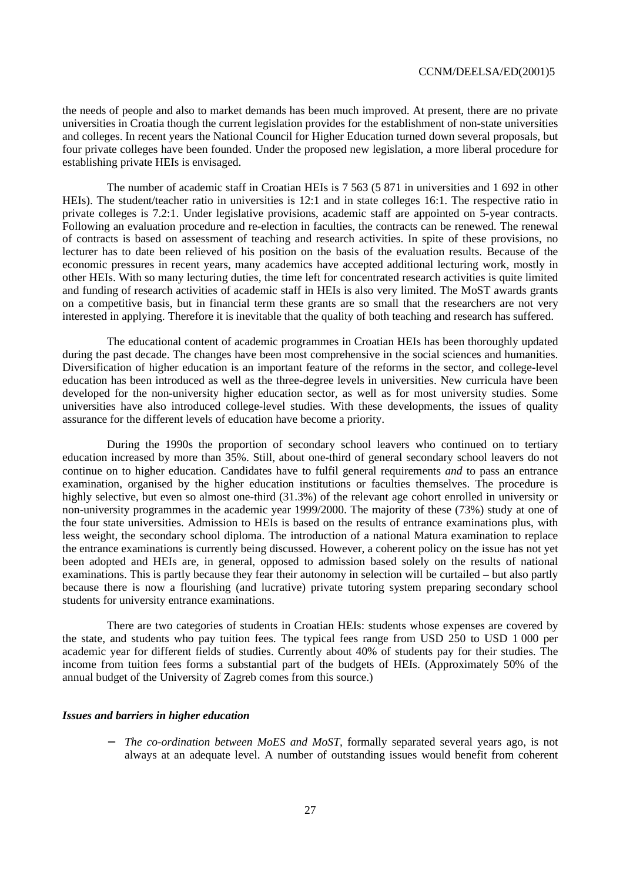the needs of people and also to market demands has been much improved. At present, there are no private universities in Croatia though the current legislation provides for the establishment of non-state universities and colleges. In recent years the National Council for Higher Education turned down several proposals, but four private colleges have been founded. Under the proposed new legislation, a more liberal procedure for establishing private HEIs is envisaged.

The number of academic staff in Croatian HEIs is 7 563 (5 871 in universities and 1 692 in other HEIs). The student/teacher ratio in universities is 12:1 and in state colleges 16:1. The respective ratio in private colleges is 7.2:1. Under legislative provisions, academic staff are appointed on 5-year contracts. Following an evaluation procedure and re-election in faculties, the contracts can be renewed. The renewal of contracts is based on assessment of teaching and research activities. In spite of these provisions, no lecturer has to date been relieved of his position on the basis of the evaluation results. Because of the economic pressures in recent years, many academics have accepted additional lecturing work, mostly in other HEIs. With so many lecturing duties, the time left for concentrated research activities is quite limited and funding of research activities of academic staff in HEIs is also very limited. The MoST awards grants on a competitive basis, but in financial term these grants are so small that the researchers are not very interested in applying. Therefore it is inevitable that the quality of both teaching and research has suffered.

The educational content of academic programmes in Croatian HEIs has been thoroughly updated during the past decade. The changes have been most comprehensive in the social sciences and humanities. Diversification of higher education is an important feature of the reforms in the sector, and college-level education has been introduced as well as the three-degree levels in universities. New curricula have been developed for the non-university higher education sector, as well as for most university studies. Some universities have also introduced college-level studies. With these developments, the issues of quality assurance for the different levels of education have become a priority.

During the 1990s the proportion of secondary school leavers who continued on to tertiary education increased by more than 35%. Still, about one-third of general secondary school leavers do not continue on to higher education. Candidates have to fulfil general requirements *and* to pass an entrance examination, organised by the higher education institutions or faculties themselves. The procedure is highly selective, but even so almost one-third  $(31.3%)$  of the relevant age cohort enrolled in university or non-university programmes in the academic year 1999/2000. The majority of these (73%) study at one of the four state universities. Admission to HEIs is based on the results of entrance examinations plus, with less weight, the secondary school diploma. The introduction of a national Matura examination to replace the entrance examinations is currently being discussed. However, a coherent policy on the issue has not yet been adopted and HEIs are, in general, opposed to admission based solely on the results of national examinations. This is partly because they fear their autonomy in selection will be curtailed – but also partly because there is now a flourishing (and lucrative) private tutoring system preparing secondary school students for university entrance examinations.

There are two categories of students in Croatian HEIs: students whose expenses are covered by the state, and students who pay tuition fees. The typical fees range from USD 250 to USD 1 000 per academic year for different fields of studies. Currently about 40% of students pay for their studies. The income from tuition fees forms a substantial part of the budgets of HEIs. (Approximately 50% of the annual budget of the University of Zagreb comes from this source.)

# *Issues and barriers in higher education*

− *The co-ordination between MoES and MoST,* formally separated several years ago, is not always at an adequate level. A number of outstanding issues would benefit from coherent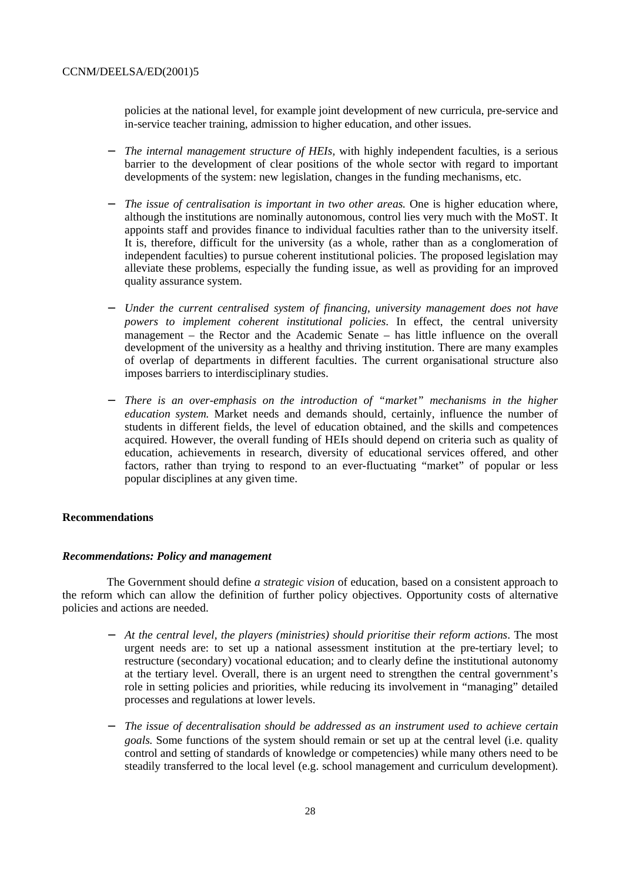policies at the national level, for example joint development of new curricula, pre-service and in-service teacher training, admission to higher education, and other issues*.*

- *The internal management structure of HEIs,* with highly independent faculties, is a serious barrier to the development of clear positions of the whole sector with regard to important developments of the system: new legislation, changes in the funding mechanisms, etc.
- *The issue of centralisation is important in two other areas.* One is higher education where, although the institutions are nominally autonomous, control lies very much with the MoST. It appoints staff and provides finance to individual faculties rather than to the university itself. It is, therefore, difficult for the university (as a whole, rather than as a conglomeration of independent faculties) to pursue coherent institutional policies. The proposed legislation may alleviate these problems, especially the funding issue, as well as providing for an improved quality assurance system.
- − *Under the current centralised system of financing, university management does not have powers to implement coherent institutional policies*. In effect, the central university management – the Rector and the Academic Senate – has little influence on the overall development of the university as a healthy and thriving institution. There are many examples of overlap of departments in different faculties. The current organisational structure also imposes barriers to interdisciplinary studies.
- *There is an over-emphasis on the introduction of "market" mechanisms in the higher education system.* Market needs and demands should, certainly, influence the number of students in different fields, the level of education obtained, and the skills and competences acquired. However, the overall funding of HEIs should depend on criteria such as quality of education, achievements in research, diversity of educational services offered, and other factors, rather than trying to respond to an ever-fluctuating "market" of popular or less popular disciplines at any given time.

# **Recommendations**

## *Recommendations: Policy and management*

The Government should define *a strategic vision* of education, based on a consistent approach to the reform which can allow the definition of further policy objectives. Opportunity costs of alternative policies and actions are needed.

- − *At the central level, the players (ministries) should prioritise their reform actions*. The most urgent needs are: to set up a national assessment institution at the pre-tertiary level; to restructure (secondary) vocational education; and to clearly define the institutional autonomy at the tertiary level. Overall, there is an urgent need to strengthen the central government's role in setting policies and priorities, while reducing its involvement in "managing" detailed processes and regulations at lower levels.
- − *The issue of decentralisation should be addressed as an instrument used to achieve certain goals.* Some functions of the system should remain or set up at the central level (i.e. quality control and setting of standards of knowledge or competencies) while many others need to be steadily transferred to the local level (e.g. school management and curriculum development).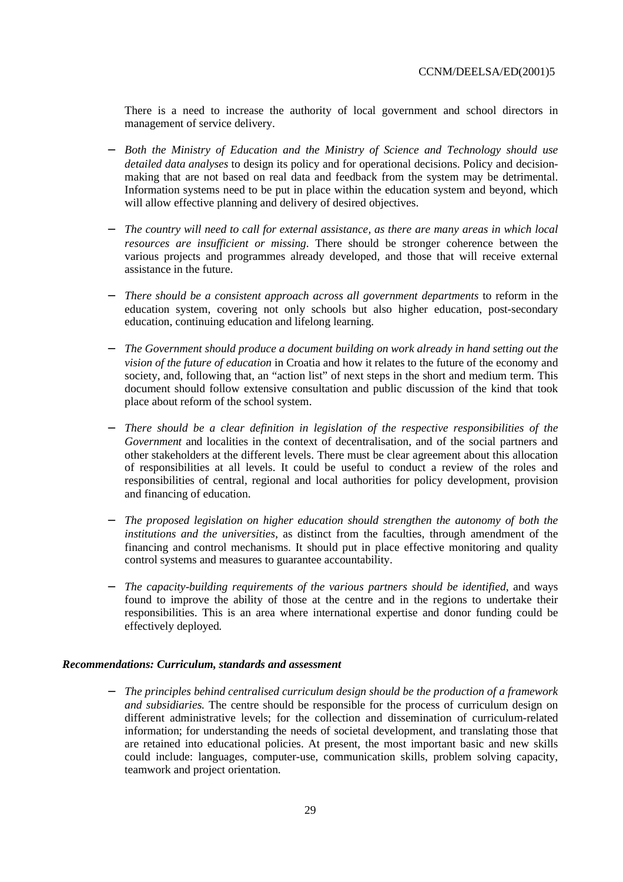There is a need to increase the authority of local government and school directors in management of service delivery.

- − *Both the Ministry of Education and the Ministry of Science and Technology should use detailed data analyses* to design its policy and for operational decisions. Policy and decisionmaking that are not based on real data and feedback from the system may be detrimental. Information systems need to be put in place within the education system and beyond, which will allow effective planning and delivery of desired objectives.
- − *The country will need to call for external assistance, as there are many areas in which local resources are insufficient or missing*. There should be stronger coherence between the various projects and programmes already developed, and those that will receive external assistance in the future.
- − *There should be a consistent approach across all government departments* to reform in the education system, covering not only schools but also higher education, post-secondary education, continuing education and lifelong learning.
- − *The Government should produce a document building on work already in hand setting out the vision of the future of education* in Croatia and how it relates to the future of the economy and society, and, following that, an "action list" of next steps in the short and medium term. This document should follow extensive consultation and public discussion of the kind that took place about reform of the school system.
- − *There should be a clear definition in legislation of the respective responsibilities of the Government* and localities in the context of decentralisation, and of the social partners and other stakeholders at the different levels. There must be clear agreement about this allocation of responsibilities at all levels. It could be useful to conduct a review of the roles and responsibilities of central, regional and local authorities for policy development, provision and financing of education.
- − *The proposed legislation on higher education should strengthen the autonomy of both the institutions and the universities*, as distinct from the faculties, through amendment of the financing and control mechanisms. It should put in place effective monitoring and quality control systems and measures to guarantee accountability.
- − *The capacity-building requirements of the various partners should be identified*, and ways found to improve the ability of those at the centre and in the regions to undertake their responsibilities. This is an area where international expertise and donor funding could be effectively deployed*.*

### *Recommendations: Curriculum, standards and assessment*

− *The principles behind centralised curriculum design should be the production of a framework and subsidiaries.* The centre should be responsible for the process of curriculum design on different administrative levels; for the collection and dissemination of curriculum-related information; for understanding the needs of societal development, and translating those that are retained into educational policies. At present, the most important basic and new skills could include: languages, computer-use, communication skills, problem solving capacity, teamwork and project orientation.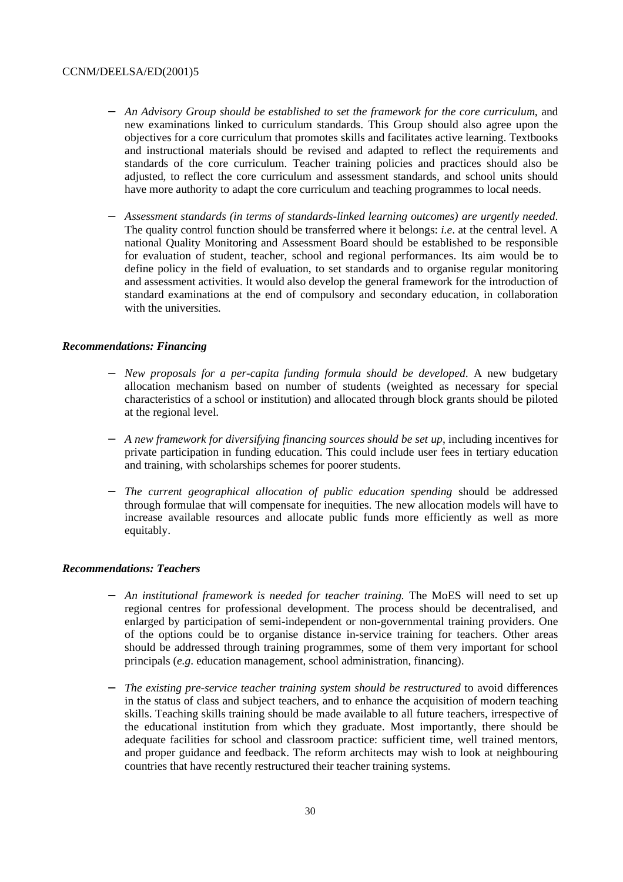- − *An Advisory Group should be established to set the framework for the core curriculum*, and new examinations linked to curriculum standards. This Group should also agree upon the objectives for a core curriculum that promotes skills and facilitates active learning. Textbooks and instructional materials should be revised and adapted to reflect the requirements and standards of the core curriculum. Teacher training policies and practices should also be adjusted, to reflect the core curriculum and assessment standards, and school units should have more authority to adapt the core curriculum and teaching programmes to local needs.
- − *Assessment standards (in terms of standards-linked learning outcomes) are urgently needed*. The quality control function should be transferred where it belongs: *i.e*. at the central level. A national Quality Monitoring and Assessment Board should be established to be responsible for evaluation of student, teacher, school and regional performances. Its aim would be to define policy in the field of evaluation, to set standards and to organise regular monitoring and assessment activities. It would also develop the general framework for the introduction of standard examinations at the end of compulsory and secondary education, in collaboration with the universities*.*

### *Recommendations: Financing*

- − *New proposals for a per-capita funding formula should be developed*. A new budgetary allocation mechanism based on number of students (weighted as necessary for special characteristics of a school or institution) and allocated through block grants should be piloted at the regional level.
- − *A new framework for diversifying financing sources should be set up*, including incentives for private participation in funding education. This could include user fees in tertiary education and training, with scholarships schemes for poorer students.
- − *The current geographical allocation of public education spending* should be addressed through formulae that will compensate for inequities. The new allocation models will have to increase available resources and allocate public funds more efficiently as well as more equitably.

# *Recommendations: Teachers*

- − *An institutional framework is needed for teacher training.* The MoES will need to set up regional centres for professional development. The process should be decentralised, and enlarged by participation of semi-independent or non-governmental training providers. One of the options could be to organise distance in-service training for teachers. Other areas should be addressed through training programmes, some of them very important for school principals (*e.g*. education management, school administration, financing).
- − *The existing pre-service teacher training system should be restructured* to avoid differences in the status of class and subject teachers, and to enhance the acquisition of modern teaching skills. Teaching skills training should be made available to all future teachers, irrespective of the educational institution from which they graduate. Most importantly, there should be adequate facilities for school and classroom practice: sufficient time, well trained mentors, and proper guidance and feedback. The reform architects may wish to look at neighbouring countries that have recently restructured their teacher training systems*.*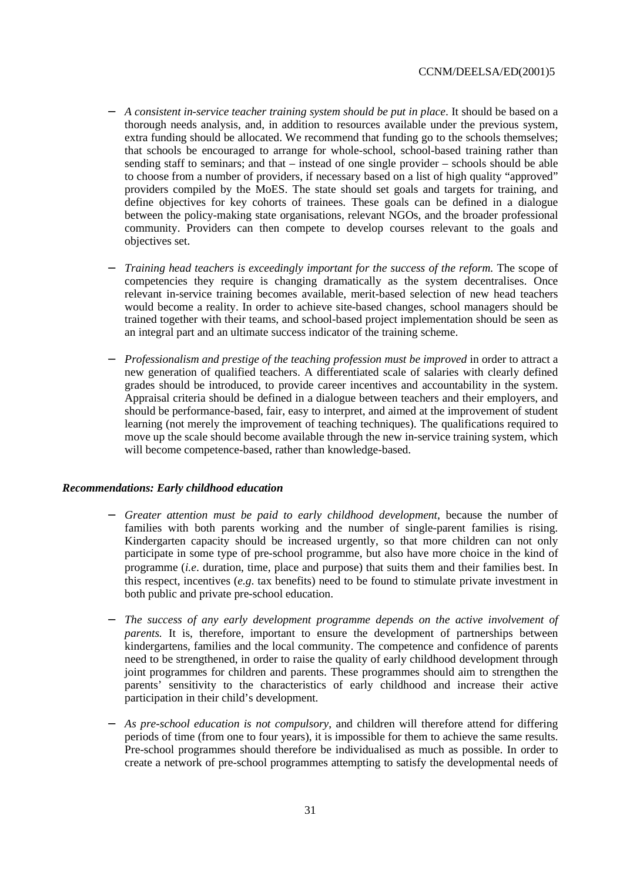- − *A consistent in-service teacher training system should be put in place*. It should be based on a thorough needs analysis, and, in addition to resources available under the previous system, extra funding should be allocated. We recommend that funding go to the schools themselves; that schools be encouraged to arrange for whole-school, school-based training rather than sending staff to seminars; and that – instead of one single provider – schools should be able to choose from a number of providers, if necessary based on a list of high quality "approved" providers compiled by the MoES. The state should set goals and targets for training, and define objectives for key cohorts of trainees. These goals can be defined in a dialogue between the policy-making state organisations, relevant NGOs, and the broader professional community. Providers can then compete to develop courses relevant to the goals and objectives set.
- *Training head teachers is exceedingly important for the success of the reform.* The scope of competencies they require is changing dramatically as the system decentralises. Once relevant in-service training becomes available, merit-based selection of new head teachers would become a reality. In order to achieve site-based changes, school managers should be trained together with their teams, and school-based project implementation should be seen as an integral part and an ultimate success indicator of the training scheme.
- − *Professionalism and prestige of the teaching profession must be improved* in order to attract a new generation of qualified teachers. A differentiated scale of salaries with clearly defined grades should be introduced, to provide career incentives and accountability in the system. Appraisal criteria should be defined in a dialogue between teachers and their employers, and should be performance-based, fair, easy to interpret, and aimed at the improvement of student learning (not merely the improvement of teaching techniques). The qualifications required to move up the scale should become available through the new in-service training system, which will become competence-based, rather than knowledge-based.

# *Recommendations: Early childhood education*

- − *Greater attention must be paid to early childhood development*, because the number of families with both parents working and the number of single-parent families is rising. Kindergarten capacity should be increased urgently, so that more children can not only participate in some type of pre-school programme, but also have more choice in the kind of programme (*i.e*. duration, time, place and purpose) that suits them and their families best. In this respect, incentives (*e.g*. tax benefits) need to be found to stimulate private investment in both public and private pre-school education.
- − *The success of any early development programme depends on the active involvement of parents.* It is, therefore, important to ensure the development of partnerships between kindergartens, families and the local community. The competence and confidence of parents need to be strengthened, in order to raise the quality of early childhood development through joint programmes for children and parents. These programmes should aim to strengthen the parents' sensitivity to the characteristics of early childhood and increase their active participation in their child's development.
- − *As pre-school education is not compulsory*, and children will therefore attend for differing periods of time (from one to four years), it is impossible for them to achieve the same results. Pre-school programmes should therefore be individualised as much as possible. In order to create a network of pre-school programmes attempting to satisfy the developmental needs of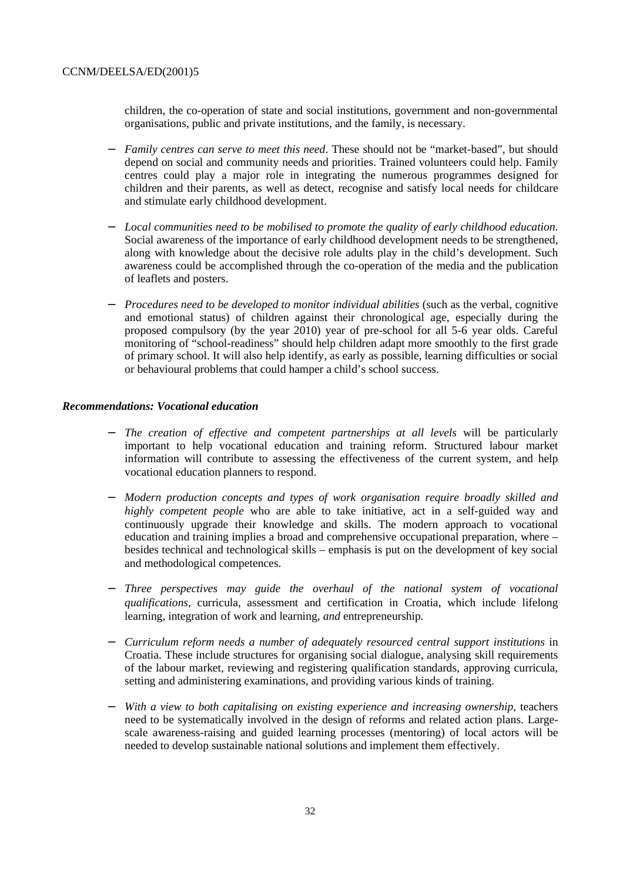children, the co-operation of state and social institutions, government and non-governmental organisations, public and private institutions, and the family, is necessary.

- − *Family centres can serve to meet this need*. These should not be "market-based", but should depend on social and community needs and priorities. Trained volunteers could help. Family centres could play a major role in integrating the numerous programmes designed for children and their parents, as well as detect, recognise and satisfy local needs for childcare and stimulate early childhood development.
- − *Local communities need to be mobilised to promote the quality of early childhood education*. Social awareness of the importance of early childhood development needs to be strengthened, along with knowledge about the decisive role adults play in the child's development. Such awareness could be accomplished through the co-operation of the media and the publication of leaflets and posters.
- − *Procedures need to be developed to monitor individual abilities* (such as the verbal, cognitive and emotional status) of children against their chronological age, especially during the proposed compulsory (by the year 2010) year of pre-school for all 5-6 year olds. Careful monitoring of "school-readiness" should help children adapt more smoothly to the first grade of primary school. It will also help identify, as early as possible, learning difficulties or social or behavioural problems that could hamper a child's school success.

# *Recommendations: Vocational education*

- − *The creation of effective and competent partnerships at all levels* will be particularly important to help vocational education and training reform. Structured labour market information will contribute to assessing the effectiveness of the current system, and help vocational education planners to respond.
- − *Modern production concepts and types of work organisation require broadly skilled and highly competent people* who are able to take initiative, act in a self-guided way and continuously upgrade their knowledge and skills. The modern approach to vocational education and training implies a broad and comprehensive occupational preparation, where – besides technical and technological skills – emphasis is put on the development of key social and methodological competences.
- − *Three perspectives may guide the overhaul of the national system of vocational qualifications*, curricula, assessment and certification in Croatia, which include lifelong learning, integration of work and learning, *and* entrepreneurship*.*
- − *Curriculum reform needs a number of adequately resourced central support institutions* in Croatia. These include structures for organising social dialogue, analysing skill requirements of the labour market, reviewing and registering qualification standards, approving curricula, setting and administering examinations, and providing various kinds of training.
- − *With a view to both capitalising on existing experience and increasing ownership*, teachers need to be systematically involved in the design of reforms and related action plans. Largescale awareness-raising and guided learning processes (mentoring) of local actors will be needed to develop sustainable national solutions and implement them effectively.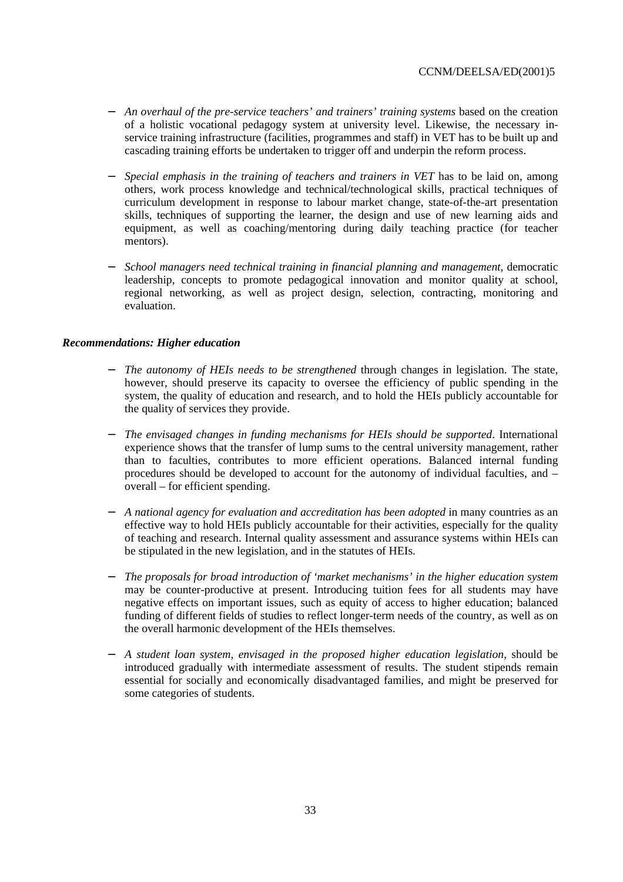- − *An overhaul of the pre-service teachers' and trainers' training systems* based on the creation of a holistic vocational pedagogy system at university level. Likewise, the necessary inservice training infrastructure (facilities, programmes and staff) in VET has to be built up and cascading training efforts be undertaken to trigger off and underpin the reform process.
- Special emphasis in the training of teachers and trainers in VET has to be laid on, among others, work process knowledge and technical/technological skills, practical techniques of curriculum development in response to labour market change, state-of-the-art presentation skills, techniques of supporting the learner, the design and use of new learning aids and equipment, as well as coaching/mentoring during daily teaching practice (for teacher mentors).
- − *School managers need technical training in financial planning and management*, democratic leadership, concepts to promote pedagogical innovation and monitor quality at school, regional networking, as well as project design, selection, contracting, monitoring and evaluation.

# *Recommendations: Higher education*

- *The autonomy of HEIs needs to be strengthened* through changes in legislation. The state, however, should preserve its capacity to oversee the efficiency of public spending in the system, the quality of education and research, and to hold the HEIs publicly accountable for the quality of services they provide.
- − *The envisaged changes in funding mechanisms for HEIs should be supported*. International experience shows that the transfer of lump sums to the central university management, rather than to faculties, contributes to more efficient operations. Balanced internal funding procedures should be developed to account for the autonomy of individual faculties, and – overall – for efficient spending.
- − *A national agency for evaluation and accreditation has been adopted* in many countries as an effective way to hold HEIs publicly accountable for their activities, especially for the quality of teaching and research. Internal quality assessment and assurance systems within HEIs can be stipulated in the new legislation, and in the statutes of HEIs.
- − *The proposals for broad introduction of 'market mechanisms' in the higher education system* may be counter-productive at present. Introducing tuition fees for all students may have negative effects on important issues, such as equity of access to higher education; balanced funding of different fields of studies to reflect longer-term needs of the country, as well as on the overall harmonic development of the HEIs themselves.
- − *A student loan system, envisaged in the proposed higher education legislation*, should be introduced gradually with intermediate assessment of results. The student stipends remain essential for socially and economically disadvantaged families, and might be preserved for some categories of students.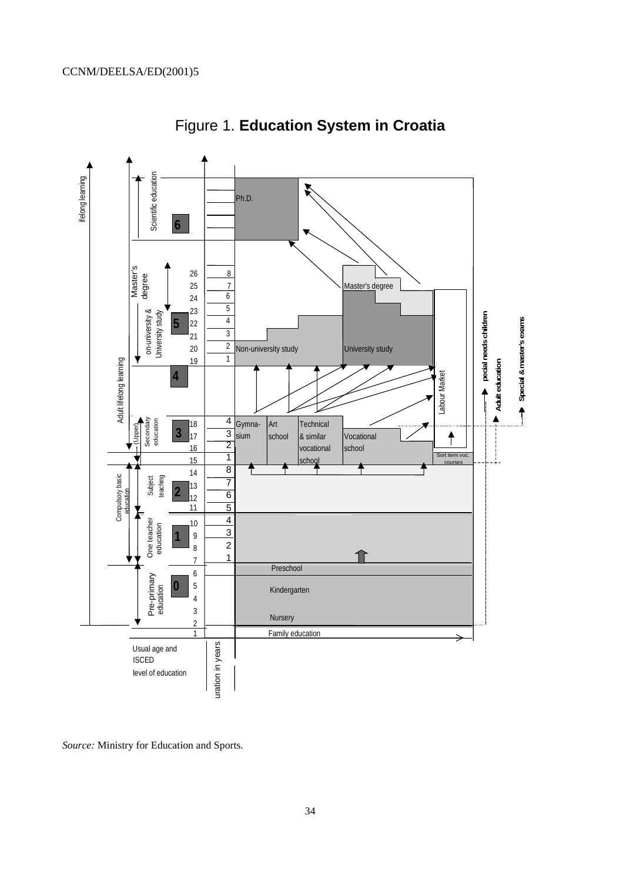

Figure 1. **Education System in Croatia**

*Source:* Ministry for Education and Sports.